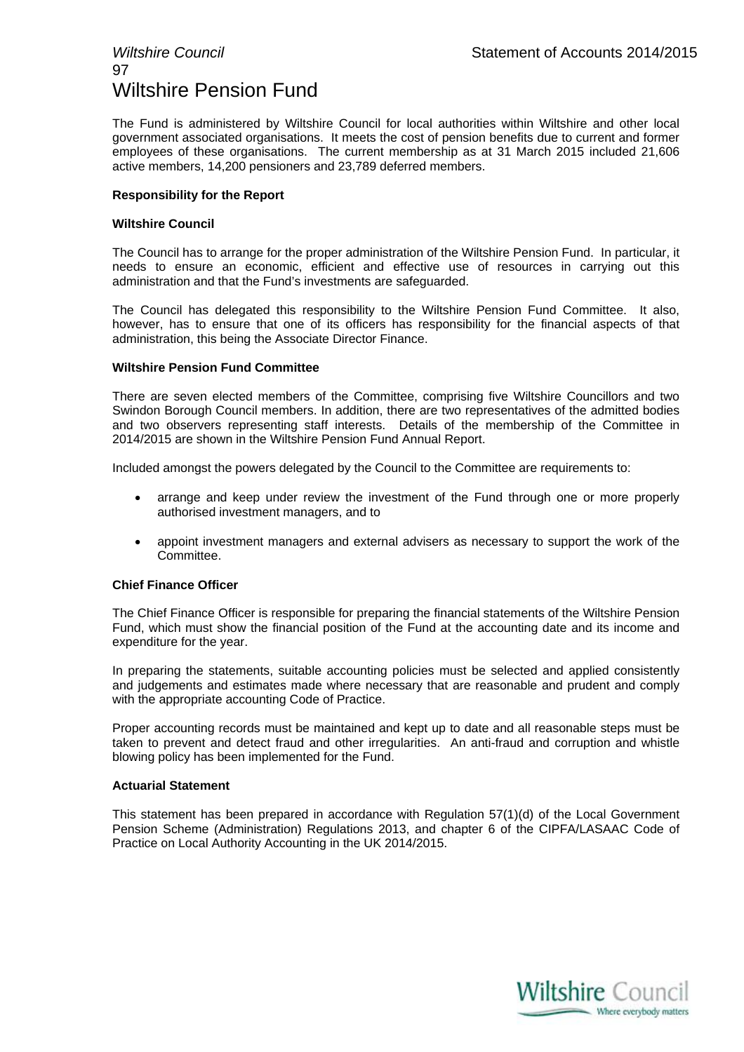## 97 Wiltshire Pension Fund

The Fund is administered by Wiltshire Council for local authorities within Wiltshire and other local government associated organisations. It meets the cost of pension benefits due to current and former employees of these organisations. The current membership as at 31 March 2015 included 21,606 active members, 14,200 pensioners and 23,789 deferred members.

### **Responsibility for the Report**

### **Wiltshire Council**

The Council has to arrange for the proper administration of the Wiltshire Pension Fund. In particular, it needs to ensure an economic, efficient and effective use of resources in carrying out this administration and that the Fund's investments are safeguarded.

The Council has delegated this responsibility to the Wiltshire Pension Fund Committee. It also, however, has to ensure that one of its officers has responsibility for the financial aspects of that administration, this being the Associate Director Finance.

### **Wiltshire Pension Fund Committee**

There are seven elected members of the Committee, comprising five Wiltshire Councillors and two Swindon Borough Council members. In addition, there are two representatives of the admitted bodies and two observers representing staff interests. Details of the membership of the Committee in 2014/2015 are shown in the Wiltshire Pension Fund Annual Report.

Included amongst the powers delegated by the Council to the Committee are requirements to:

- arrange and keep under review the investment of the Fund through one or more properly authorised investment managers, and to
- appoint investment managers and external advisers as necessary to support the work of the Committee.

### **Chief Finance Officer**

The Chief Finance Officer is responsible for preparing the financial statements of the Wiltshire Pension Fund, which must show the financial position of the Fund at the accounting date and its income and expenditure for the year.

In preparing the statements, suitable accounting policies must be selected and applied consistently and judgements and estimates made where necessary that are reasonable and prudent and comply with the appropriate accounting Code of Practice.

Proper accounting records must be maintained and kept up to date and all reasonable steps must be taken to prevent and detect fraud and other irregularities. An anti-fraud and corruption and whistle blowing policy has been implemented for the Fund.

### **Actuarial Statement**

This statement has been prepared in accordance with Regulation 57(1)(d) of the Local Government Pension Scheme (Administration) Regulations 2013, and chapter 6 of the CIPFA/LASAAC Code of Practice on Local Authority Accounting in the UK 2014/2015.

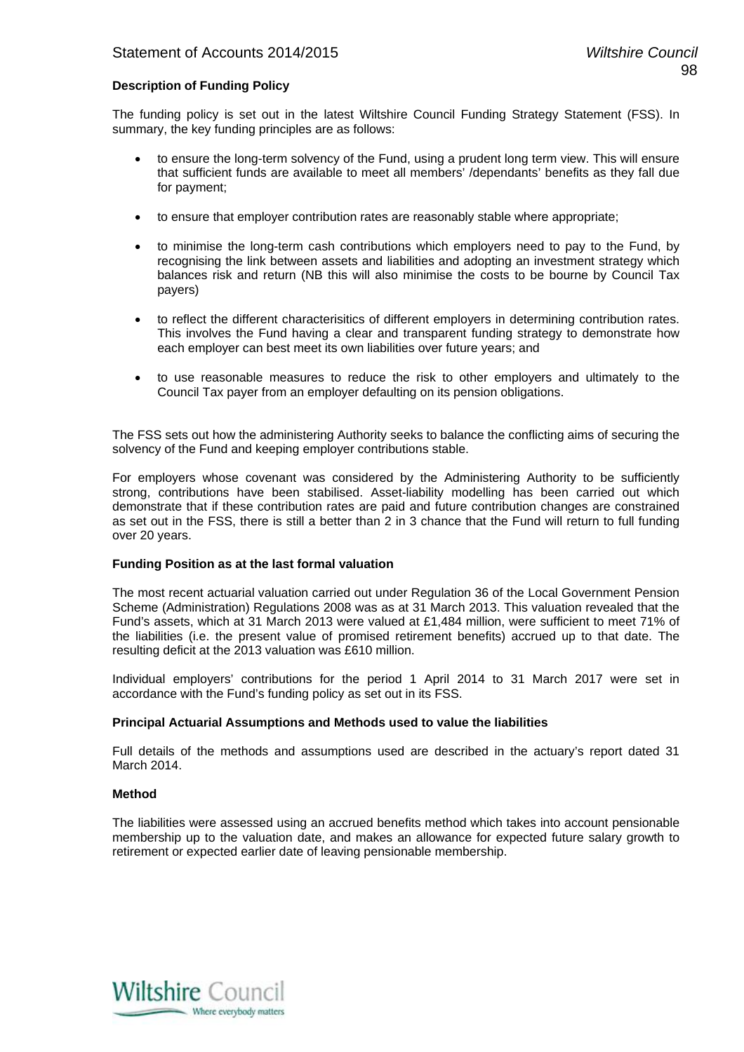### **Description of Funding Policy**

The funding policy is set out in the latest Wiltshire Council Funding Strategy Statement (FSS). In summary, the key funding principles are as follows:

- to ensure the long-term solvency of the Fund, using a prudent long term view. This will ensure that sufficient funds are available to meet all members' /dependants' benefits as they fall due for payment;
- to ensure that employer contribution rates are reasonably stable where appropriate;
- to minimise the long-term cash contributions which employers need to pay to the Fund, by recognising the link between assets and liabilities and adopting an investment strategy which balances risk and return (NB this will also minimise the costs to be bourne by Council Tax payers)
- to reflect the different characterisitics of different employers in determining contribution rates. This involves the Fund having a clear and transparent funding strategy to demonstrate how each employer can best meet its own liabilities over future years; and
- to use reasonable measures to reduce the risk to other employers and ultimately to the Council Tax payer from an employer defaulting on its pension obligations.

The FSS sets out how the administering Authority seeks to balance the conflicting aims of securing the solvency of the Fund and keeping employer contributions stable.

For employers whose covenant was considered by the Administering Authority to be sufficiently strong, contributions have been stabilised. Asset-liability modelling has been carried out which demonstrate that if these contribution rates are paid and future contribution changes are constrained as set out in the FSS, there is still a better than 2 in 3 chance that the Fund will return to full funding over 20 years.

### **Funding Position as at the last formal valuation**

The most recent actuarial valuation carried out under Regulation 36 of the Local Government Pension Scheme (Administration) Regulations 2008 was as at 31 March 2013. This valuation revealed that the Fund's assets, which at 31 March 2013 were valued at £1,484 million, were sufficient to meet 71% of the liabilities (i.e. the present value of promised retirement benefits) accrued up to that date. The resulting deficit at the 2013 valuation was £610 million.

Individual employers' contributions for the period 1 April 2014 to 31 March 2017 were set in accordance with the Fund's funding policy as set out in its FSS.

### **Principal Actuarial Assumptions and Methods used to value the liabilities**

Full details of the methods and assumptions used are described in the actuary's report dated 31 March 2014.

### **Method**

The liabilities were assessed using an accrued benefits method which takes into account pensionable membership up to the valuation date, and makes an allowance for expected future salary growth to retirement or expected earlier date of leaving pensionable membership.

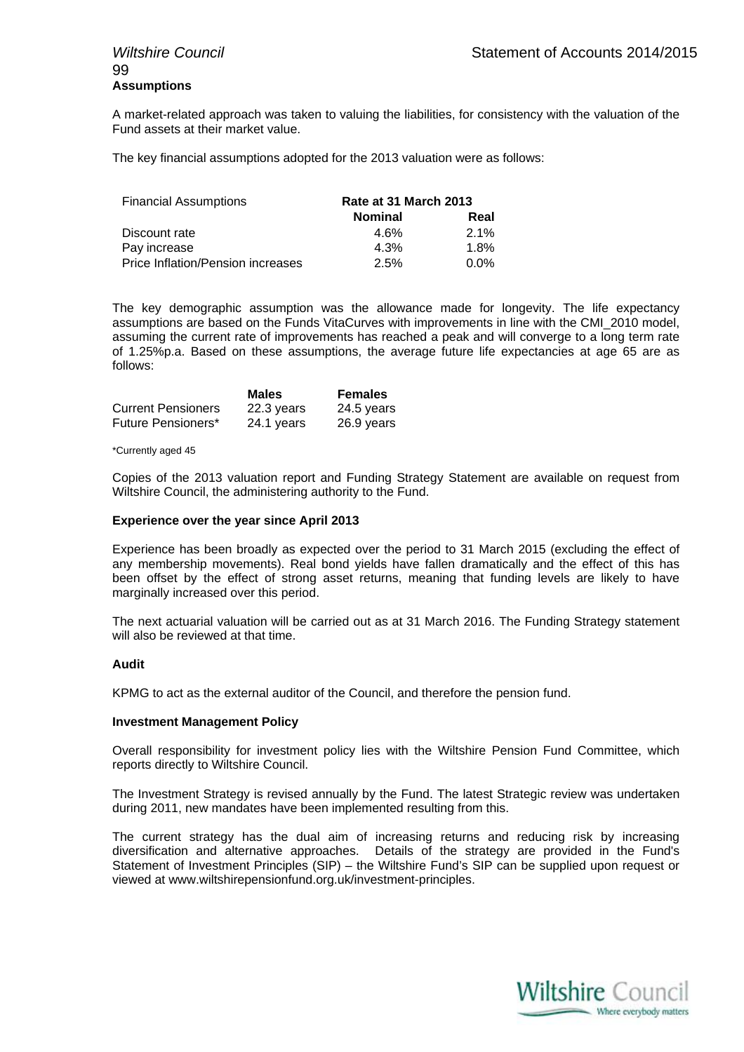## 99 **Assumptions**

A market-related approach was taken to valuing the liabilities, for consistency with the valuation of the Fund assets at their market value.

The key financial assumptions adopted for the 2013 valuation were as follows:

| <b>Financial Assumptions</b>      | Rate at 31 March 2013 |         |
|-----------------------------------|-----------------------|---------|
|                                   | <b>Nominal</b>        | Real    |
| Discount rate                     | 4.6%                  | $2.1\%$ |
| Pay increase                      | 4.3%                  | $1.8\%$ |
| Price Inflation/Pension increases | 2.5%                  | $0.0\%$ |

The key demographic assumption was the allowance made for longevity. The life expectancy assumptions are based on the Funds VitaCurves with improvements in line with the CMI\_2010 model, assuming the current rate of improvements has reached a peak and will converge to a long term rate of 1.25%p.a. Based on these assumptions, the average future life expectancies at age 65 are as follows:

|                           | <b>Males</b> | <b>Females</b> |
|---------------------------|--------------|----------------|
| <b>Current Pensioners</b> | 22.3 years   | 24.5 years     |
| Future Pensioners*        | 24.1 years   | 26.9 years     |

### \*Currently aged 45

Copies of the 2013 valuation report and Funding Strategy Statement are available on request from Wiltshire Council, the administering authority to the Fund.

### **Experience over the year since April 2013**

Experience has been broadly as expected over the period to 31 March 2015 (excluding the effect of any membership movements). Real bond yields have fallen dramatically and the effect of this has been offset by the effect of strong asset returns, meaning that funding levels are likely to have marginally increased over this period.

The next actuarial valuation will be carried out as at 31 March 2016. The Funding Strategy statement will also be reviewed at that time.

### **Audit**

KPMG to act as the external auditor of the Council, and therefore the pension fund.

### **Investment Management Policy**

Overall responsibility for investment policy lies with the Wiltshire Pension Fund Committee, which reports directly to Wiltshire Council.

The Investment Strategy is revised annually by the Fund. The latest Strategic review was undertaken during 2011, new mandates have been implemented resulting from this.

The current strategy has the dual aim of increasing returns and reducing risk by increasing diversification and alternative approaches. Details of the strategy are provided in the Fund's Statement of Investment Principles (SIP) – the Wiltshire Fund's SIP can be supplied upon request or viewed at www.wiltshirepensionfund.org.uk/investment-principles.

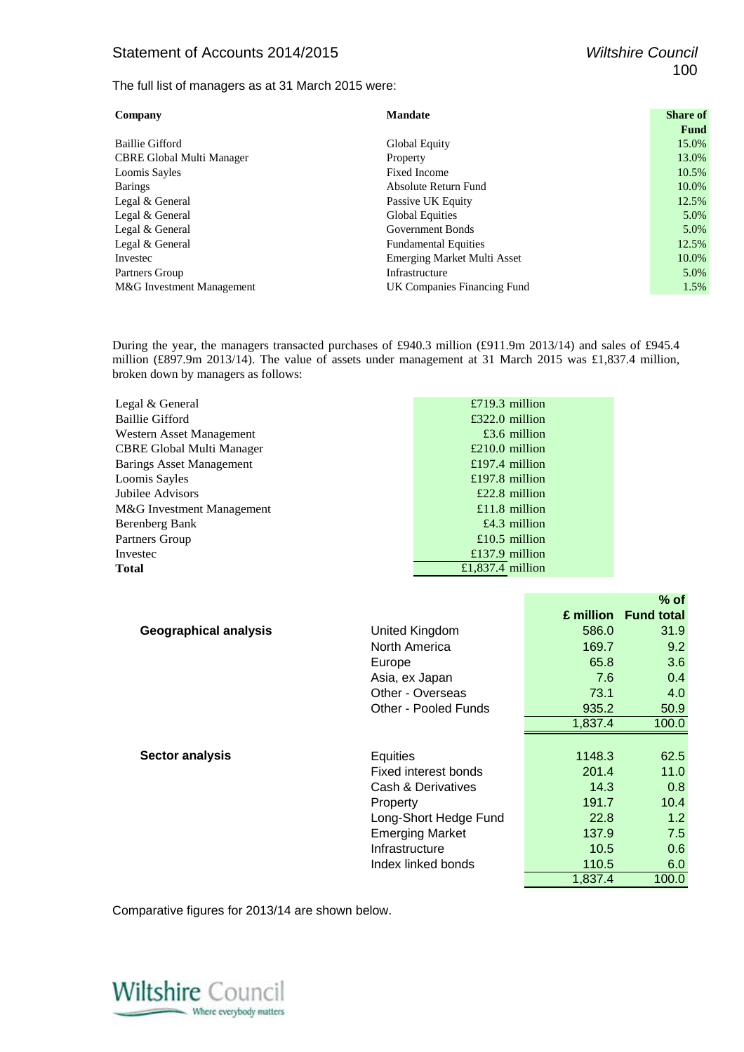### Statement of Accounts 2014/2015 *Wiltshire Council*

The full list of managers as at 31 March 2015 were:

| Company                          | <b>Mandate</b>                     | <b>Share of</b> |
|----------------------------------|------------------------------------|-----------------|
|                                  |                                    | Fund            |
| <b>Baillie Gifford</b>           | Global Equity                      | 15.0%           |
| <b>CBRE Global Multi Manager</b> | Property                           | 13.0%           |
| Loomis Sayles                    | Fixed Income                       | 10.5%           |
| <b>Barings</b>                   | Absolute Return Fund               | 10.0%           |
| Legal & General                  | Passive UK Equity                  | 12.5%           |
| Legal & General                  | <b>Global Equities</b>             | 5.0%            |
| Legal & General                  | Government Bonds                   | 5.0%            |
| Legal & General                  | <b>Fundamental Equities</b>        | 12.5%           |
| Investec                         | <b>Emerging Market Multi Asset</b> | 10.0%           |
| Partners Group                   | Infrastructure                     | 5.0%            |
| M&G Investment Management        | UK Companies Financing Fund        | 1.5%            |

During the year, the managers transacted purchases of £940.3 million (£911.9m 2013/14) and sales of £945.4 million (£897.9m 2013/14). The value of assets under management at 31 March 2015 was £1,837.4 million, broken down by managers as follows:

| Legal & General                 | £719.3 million   |        |
|---------------------------------|------------------|--------|
| <b>Baillie Gifford</b>          | $£322.0$ million |        |
| Western Asset Management        | $£3.6$ million   |        |
| CBRE Global Multi Manager       | $£210.0$ million |        |
| <b>Barings Asset Management</b> | £197.4 million   |        |
| Loomis Sayles                   | £197.8 million   |        |
| Jubilee Advisors                | $£22.8$ million  |        |
| M&G Investment Management       | £11.8 million    |        |
| Berenberg Bank                  | £4.3 million     |        |
| Partners Group                  | £10.5 million    |        |
| Investec                        | £137.9 million   |        |
| Total                           | £1,837.4 million |        |
|                                 |                  |        |
|                                 |                  | $%$ of |

|                              |                        |         | £ million Fund total |
|------------------------------|------------------------|---------|----------------------|
| <b>Geographical analysis</b> | United Kingdom         | 586.0   | 31.9                 |
|                              | North America          | 169.7   | 9.2                  |
|                              | Europe                 | 65.8    | 3.6                  |
|                              | Asia, ex Japan         | 7.6     | 0.4                  |
|                              | Other - Overseas       | 73.1    | 4.0                  |
|                              | Other - Pooled Funds   | 935.2   | 50.9                 |
|                              |                        | 1,837.4 | 100.0                |
|                              |                        |         |                      |
| <b>Sector analysis</b>       | Equities               | 1148.3  | 62.5                 |
|                              | Fixed interest bonds   | 201.4   | 11.0                 |
|                              | Cash & Derivatives     | 14.3    | 0.8                  |
|                              | Property               | 191.7   | 10.4                 |
|                              | Long-Short Hedge Fund  | 22.8    | 1.2                  |
|                              | <b>Emerging Market</b> | 137.9   | 7.5                  |
|                              | Infrastructure         | 10.5    | 0.6                  |
|                              | Index linked bonds     | 110.5   | 6.0                  |
|                              |                        | 1.837.4 | 100.0                |

Comparative figures for 2013/14 are shown below.

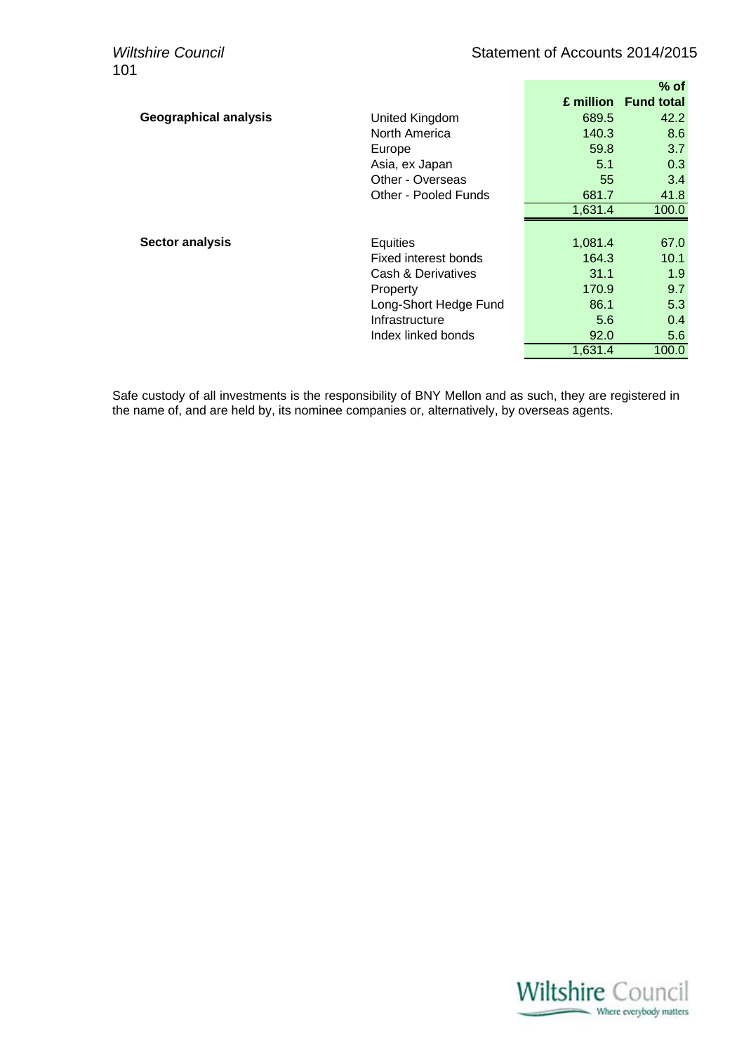|                              |                       |         | $%$ of               |
|------------------------------|-----------------------|---------|----------------------|
|                              |                       |         | £ million Fund total |
| <b>Geographical analysis</b> | United Kingdom        | 689.5   | 42.2                 |
|                              | North America         | 140.3   | 8.6                  |
|                              | Europe                | 59.8    | 3.7                  |
|                              | Asia, ex Japan        | 5.1     | 0.3                  |
|                              | Other - Overseas      | 55      | 3.4                  |
|                              | Other - Pooled Funds  | 681.7   | 41.8                 |
|                              |                       | 1,631.4 | 100.0                |
|                              |                       |         |                      |
|                              |                       |         |                      |
| <b>Sector analysis</b>       | Equities              | 1,081.4 | 67.0                 |
|                              | Fixed interest bonds  | 164.3   | 10.1                 |
|                              | Cash & Derivatives    | 31.1    | 1.9                  |
|                              | Property              | 170.9   | 9.7                  |
|                              | Long-Short Hedge Fund | 86.1    | 5.3                  |
|                              | Infrastructure        | 5.6     | 0.4                  |
|                              | Index linked bonds    | 92.0    | 5.6                  |

Safe custody of all investments is the responsibility of BNY Mellon and as such, they are registered in the name of, and are held by, its nominee companies or, alternatively, by overseas agents.

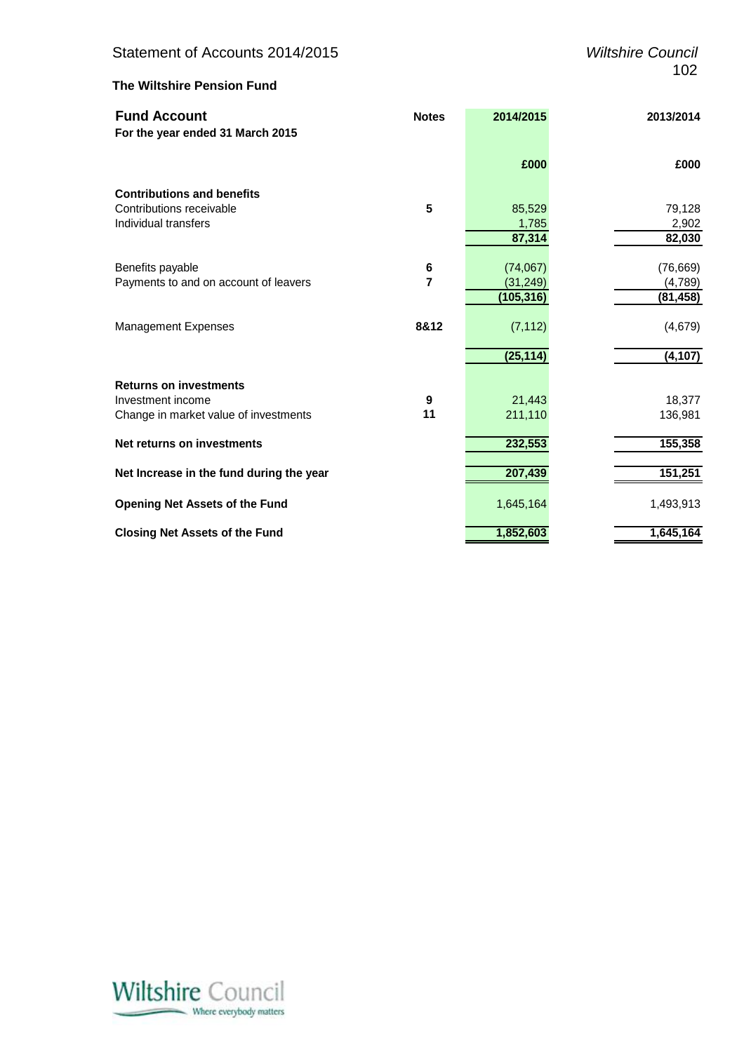### **The Wiltshire Pension Fund**

| <b>Fund Account</b><br>For the year ended 31 March 2015 | <b>Notes</b>     | 2014/2015  | 2013/2014 |
|---------------------------------------------------------|------------------|------------|-----------|
|                                                         |                  | £000       | £000      |
| <b>Contributions and benefits</b>                       |                  |            |           |
| Contributions receivable                                | 5                | 85,529     | 79,128    |
| Individual transfers                                    |                  | 1,785      | 2,902     |
|                                                         |                  | 87,314     | 82,030    |
| Benefits payable                                        | 6                | (74,067)   | (76, 669) |
| Payments to and on account of leavers                   | $\overline{7}$   | (31, 249)  | (4,789)   |
|                                                         |                  | (105, 316) | (81, 458) |
| <b>Management Expenses</b>                              | 8&12             | (7, 112)   | (4,679)   |
|                                                         |                  | (25, 114)  | (4, 107)  |
| <b>Returns on investments</b>                           |                  |            |           |
| Investment income                                       | $\boldsymbol{9}$ | 21,443     | 18,377    |
| Change in market value of investments                   | 11               | 211,110    | 136,981   |
| Net returns on investments                              |                  | 232,553    | 155,358   |
| Net Increase in the fund during the year                |                  | 207,439    | 151,251   |
| <b>Opening Net Assets of the Fund</b>                   |                  | 1,645,164  | 1,493,913 |
| <b>Closing Net Assets of the Fund</b>                   |                  | 1,852,603  | 1,645,164 |

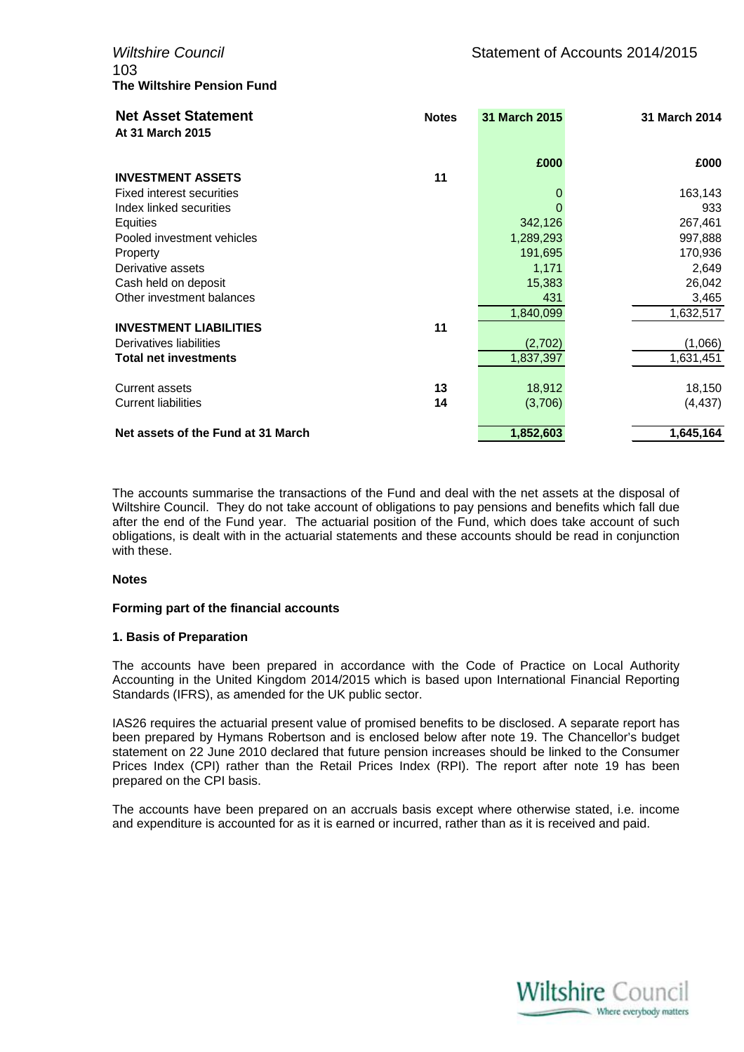103 **The Wiltshire Pension Fund**

| <b>Net Asset Statement</b><br>At 31 March 2015 | <b>Notes</b> | 31 March 2015 | 31 March 2014 |
|------------------------------------------------|--------------|---------------|---------------|
|                                                |              | £000          | £000          |
| <b>INVESTMENT ASSETS</b>                       | 11           |               |               |
| Fixed interest securities                      |              | 0             | 163,143       |
| Index linked securities                        |              | 0             | 933           |
| Equities                                       |              | 342,126       | 267,461       |
| Pooled investment vehicles                     |              | 1,289,293     | 997,888       |
| Property                                       |              | 191,695       | 170,936       |
| Derivative assets                              |              | 1,171         | 2,649         |
| Cash held on deposit                           |              | 15,383        | 26,042        |
| Other investment balances                      |              | 431           | 3,465         |
|                                                |              | 1,840,099     | 1,632,517     |
| <b>INVESTMENT LIABILITIES</b>                  | 11           |               |               |
| Derivatives liabilities                        |              | (2,702)       | (1,066)       |
| <b>Total net investments</b>                   |              | 1,837,397     | 1,631,451     |
| <b>Current assets</b>                          | 13           | 18,912        | 18,150        |
| <b>Current liabilities</b>                     | 14           | (3,706)       | (4, 437)      |
| Net assets of the Fund at 31 March             |              | 1,852,603     | 1,645,164     |

The accounts summarise the transactions of the Fund and deal with the net assets at the disposal of Wiltshire Council. They do not take account of obligations to pay pensions and benefits which fall due after the end of the Fund year. The actuarial position of the Fund, which does take account of such obligations, is dealt with in the actuarial statements and these accounts should be read in conjunction with these.

### **Notes**

### **Forming part of the financial accounts**

### **1. Basis of Preparation**

The accounts have been prepared in accordance with the Code of Practice on Local Authority Accounting in the United Kingdom 2014/2015 which is based upon International Financial Reporting Standards (IFRS), as amended for the UK public sector.

IAS26 requires the actuarial present value of promised benefits to be disclosed. A separate report has been prepared by Hymans Robertson and is enclosed below after note 19. The Chancellor's budget statement on 22 June 2010 declared that future pension increases should be linked to the Consumer Prices Index (CPI) rather than the Retail Prices Index (RPI). The report after note 19 has been prepared on the CPI basis.

The accounts have been prepared on an accruals basis except where otherwise stated, i.e. income and expenditure is accounted for as it is earned or incurred, rather than as it is received and paid.

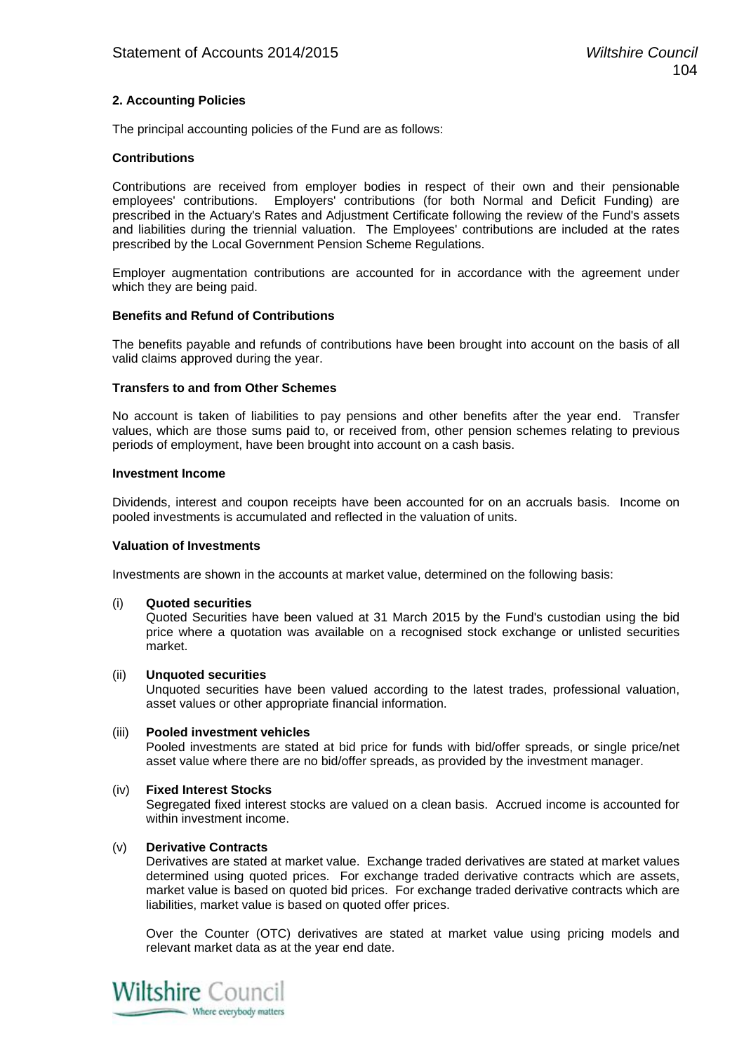### **2. Accounting Policies**

The principal accounting policies of the Fund are as follows:

### **Contributions**

Contributions are received from employer bodies in respect of their own and their pensionable employees' contributions. Employers' contributions (for both Normal and Deficit Funding) are prescribed in the Actuary's Rates and Adjustment Certificate following the review of the Fund's assets and liabilities during the triennial valuation. The Employees' contributions are included at the rates prescribed by the Local Government Pension Scheme Regulations.

Employer augmentation contributions are accounted for in accordance with the agreement under which they are being paid.

### **Benefits and Refund of Contributions**

The benefits payable and refunds of contributions have been brought into account on the basis of all valid claims approved during the year.

### **Transfers to and from Other Schemes**

No account is taken of liabilities to pay pensions and other benefits after the year end. Transfer values, which are those sums paid to, or received from, other pension schemes relating to previous periods of employment, have been brought into account on a cash basis.

### **Investment Income**

Dividends, interest and coupon receipts have been accounted for on an accruals basis. Income on pooled investments is accumulated and reflected in the valuation of units.

### **Valuation of Investments**

Investments are shown in the accounts at market value, determined on the following basis:

### (i) **Quoted securities**

Quoted Securities have been valued at 31 March 2015 by the Fund's custodian using the bid price where a quotation was available on a recognised stock exchange or unlisted securities market.

### (ii) **Unquoted securities**

 Unquoted securities have been valued according to the latest trades, professional valuation, asset values or other appropriate financial information.

### (iii) **Pooled investment vehicles**

Pooled investments are stated at bid price for funds with bid/offer spreads, or single price/net asset value where there are no bid/offer spreads, as provided by the investment manager.

### (iv) **Fixed Interest Stocks**

Segregated fixed interest stocks are valued on a clean basis. Accrued income is accounted for within investment income.

### (v) **Derivative Contracts**

Derivatives are stated at market value. Exchange traded derivatives are stated at market values determined using quoted prices. For exchange traded derivative contracts which are assets, market value is based on quoted bid prices. For exchange traded derivative contracts which are liabilities, market value is based on quoted offer prices.

Over the Counter (OTC) derivatives are stated at market value using pricing models and relevant market data as at the year end date.

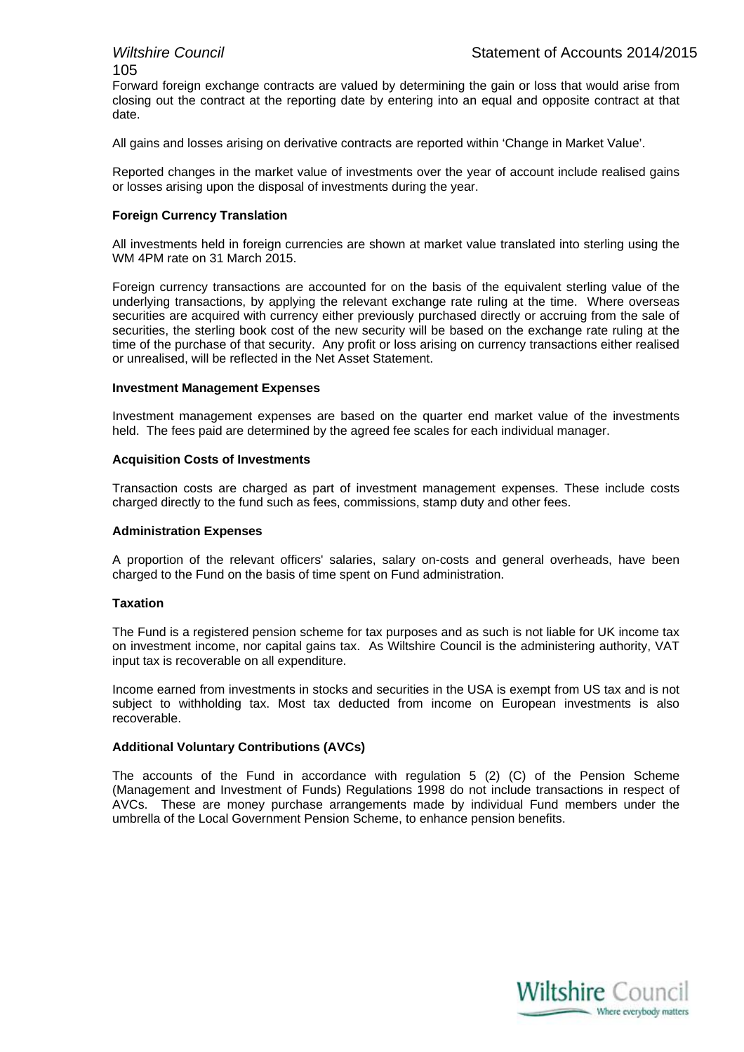105

Forward foreign exchange contracts are valued by determining the gain or loss that would arise from closing out the contract at the reporting date by entering into an equal and opposite contract at that date.

All gains and losses arising on derivative contracts are reported within 'Change in Market Value'.

Reported changes in the market value of investments over the year of account include realised gains or losses arising upon the disposal of investments during the year.

### **Foreign Currency Translation**

All investments held in foreign currencies are shown at market value translated into sterling using the WM 4PM rate on 31 March 2015.

Foreign currency transactions are accounted for on the basis of the equivalent sterling value of the underlying transactions, by applying the relevant exchange rate ruling at the time. Where overseas securities are acquired with currency either previously purchased directly or accruing from the sale of securities, the sterling book cost of the new security will be based on the exchange rate ruling at the time of the purchase of that security. Any profit or loss arising on currency transactions either realised or unrealised, will be reflected in the Net Asset Statement.

### **Investment Management Expenses**

Investment management expenses are based on the quarter end market value of the investments held. The fees paid are determined by the agreed fee scales for each individual manager.

### **Acquisition Costs of Investments**

Transaction costs are charged as part of investment management expenses. These include costs charged directly to the fund such as fees, commissions, stamp duty and other fees.

### **Administration Expenses**

A proportion of the relevant officers' salaries, salary on-costs and general overheads, have been charged to the Fund on the basis of time spent on Fund administration.

### **Taxation**

The Fund is a registered pension scheme for tax purposes and as such is not liable for UK income tax on investment income, nor capital gains tax. As Wiltshire Council is the administering authority, VAT input tax is recoverable on all expenditure.

Income earned from investments in stocks and securities in the USA is exempt from US tax and is not subject to withholding tax. Most tax deducted from income on European investments is also recoverable.

### **Additional Voluntary Contributions (AVCs)**

The accounts of the Fund in accordance with regulation 5 (2) (C) of the Pension Scheme (Management and Investment of Funds) Regulations 1998 do not include transactions in respect of AVCs. These are money purchase arrangements made by individual Fund members under the umbrella of the Local Government Pension Scheme, to enhance pension benefits.

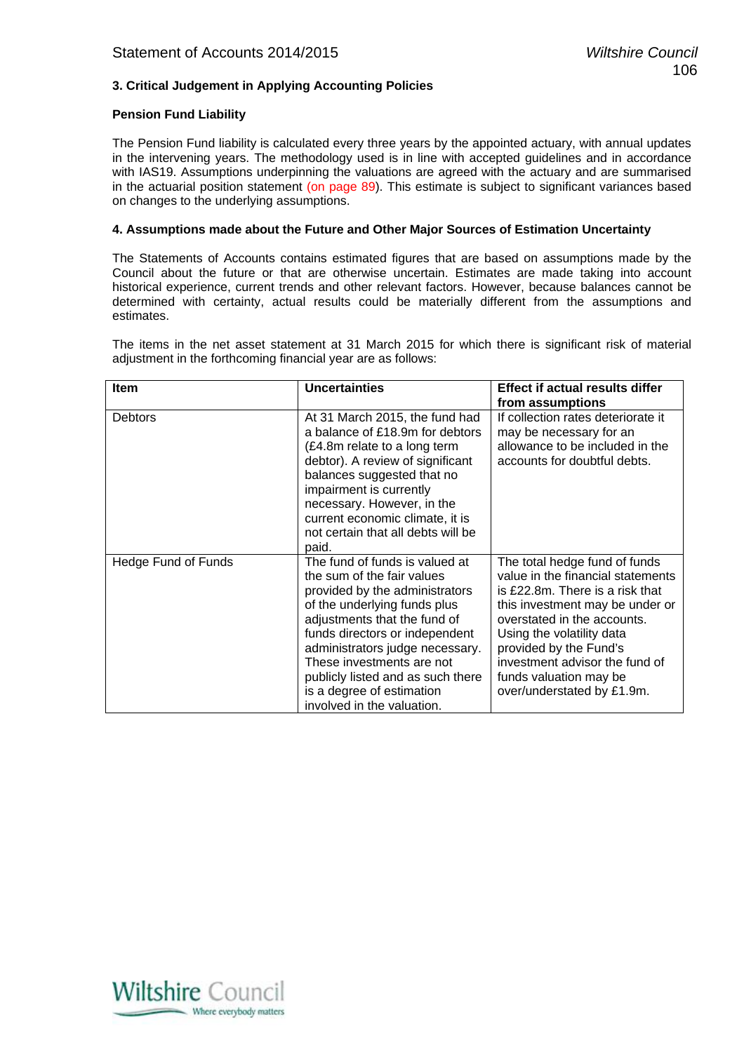### **3. Critical Judgement in Applying Accounting Policies**

### **Pension Fund Liability**

The Pension Fund liability is calculated every three years by the appointed actuary, with annual updates in the intervening years. The methodology used is in line with accepted guidelines and in accordance with IAS19. Assumptions underpinning the valuations are agreed with the actuary and are summarised in the actuarial position statement (on page 89). This estimate is subject to significant variances based on changes to the underlying assumptions.

### **4. Assumptions made about the Future and Other Major Sources of Estimation Uncertainty**

The Statements of Accounts contains estimated figures that are based on assumptions made by the Council about the future or that are otherwise uncertain. Estimates are made taking into account historical experience, current trends and other relevant factors. However, because balances cannot be determined with certainty, actual results could be materially different from the assumptions and estimates.

The items in the net asset statement at 31 March 2015 for which there is significant risk of material adjustment in the forthcoming financial year are as follows:

| Item                | <b>Uncertainties</b>                                                                                                                                                                                                                                                                                                                                             | <b>Effect if actual results differ</b>                                                                                                                                                                                                                                                                                   |
|---------------------|------------------------------------------------------------------------------------------------------------------------------------------------------------------------------------------------------------------------------------------------------------------------------------------------------------------------------------------------------------------|--------------------------------------------------------------------------------------------------------------------------------------------------------------------------------------------------------------------------------------------------------------------------------------------------------------------------|
|                     |                                                                                                                                                                                                                                                                                                                                                                  | from assumptions                                                                                                                                                                                                                                                                                                         |
| <b>Debtors</b>      | At 31 March 2015, the fund had<br>a balance of £18.9m for debtors<br>(£4.8m relate to a long term<br>debtor). A review of significant<br>balances suggested that no<br>impairment is currently<br>necessary. However, in the<br>current economic climate, it is<br>not certain that all debts will be<br>paid.                                                   | If collection rates deteriorate it<br>may be necessary for an<br>allowance to be included in the<br>accounts for doubtful debts.                                                                                                                                                                                         |
| Hedge Fund of Funds | The fund of funds is valued at<br>the sum of the fair values<br>provided by the administrators<br>of the underlying funds plus<br>adjustments that the fund of<br>funds directors or independent<br>administrators judge necessary.<br>These investments are not<br>publicly listed and as such there<br>is a degree of estimation<br>involved in the valuation. | The total hedge fund of funds<br>value in the financial statements<br>is £22.8m. There is a risk that<br>this investment may be under or<br>overstated in the accounts.<br>Using the volatility data<br>provided by the Fund's<br>investment advisor the fund of<br>funds valuation may be<br>over/understated by £1.9m. |

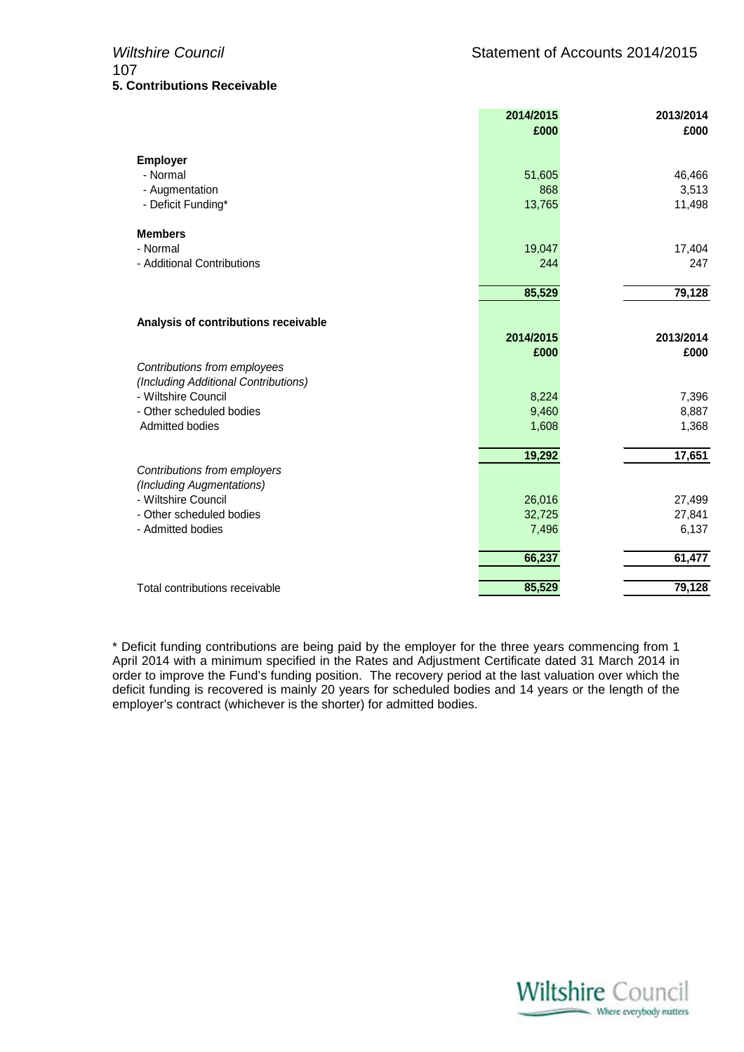|                                                                      | 2014/2015 | 2013/2014 |
|----------------------------------------------------------------------|-----------|-----------|
|                                                                      | £000      | £000      |
| <b>Employer</b>                                                      |           |           |
| - Normal                                                             | 51,605    | 46,466    |
| - Augmentation                                                       | 868       | 3,513     |
| - Deficit Funding*                                                   | 13,765    | 11,498    |
| <b>Members</b>                                                       |           |           |
| - Normal                                                             | 19,047    | 17,404    |
| - Additional Contributions                                           | 244       | 247       |
|                                                                      | 85,529    | 79,128    |
|                                                                      |           |           |
| Analysis of contributions receivable                                 |           |           |
|                                                                      | 2014/2015 | 2013/2014 |
|                                                                      | £000      | £000      |
| Contributions from employees<br>(Including Additional Contributions) |           |           |
| - Wiltshire Council                                                  | 8,224     | 7,396     |
| - Other scheduled bodies                                             | 9,460     | 8,887     |
| <b>Admitted bodies</b>                                               | 1,608     | 1,368     |
|                                                                      | 19,292    | 17,651    |
| Contributions from employers                                         |           |           |
| (Including Augmentations)                                            |           |           |
| - Wiltshire Council                                                  | 26,016    | 27,499    |
| - Other scheduled bodies                                             | 32,725    | 27,841    |
| - Admitted bodies                                                    | 7,496     | 6,137     |
|                                                                      | 66,237    | 61,477    |
| Total contributions receivable                                       | 85,529    | 79,128    |
|                                                                      |           |           |

\* Deficit funding contributions are being paid by the employer for the three years commencing from 1 April 2014 with a minimum specified in the Rates and Adjustment Certificate dated 31 March 2014 in order to improve the Fund's funding position. The recovery period at the last valuation over which the deficit funding is recovered is mainly 20 years for scheduled bodies and 14 years or the length of the employer's contract (whichever is the shorter) for admitted bodies.

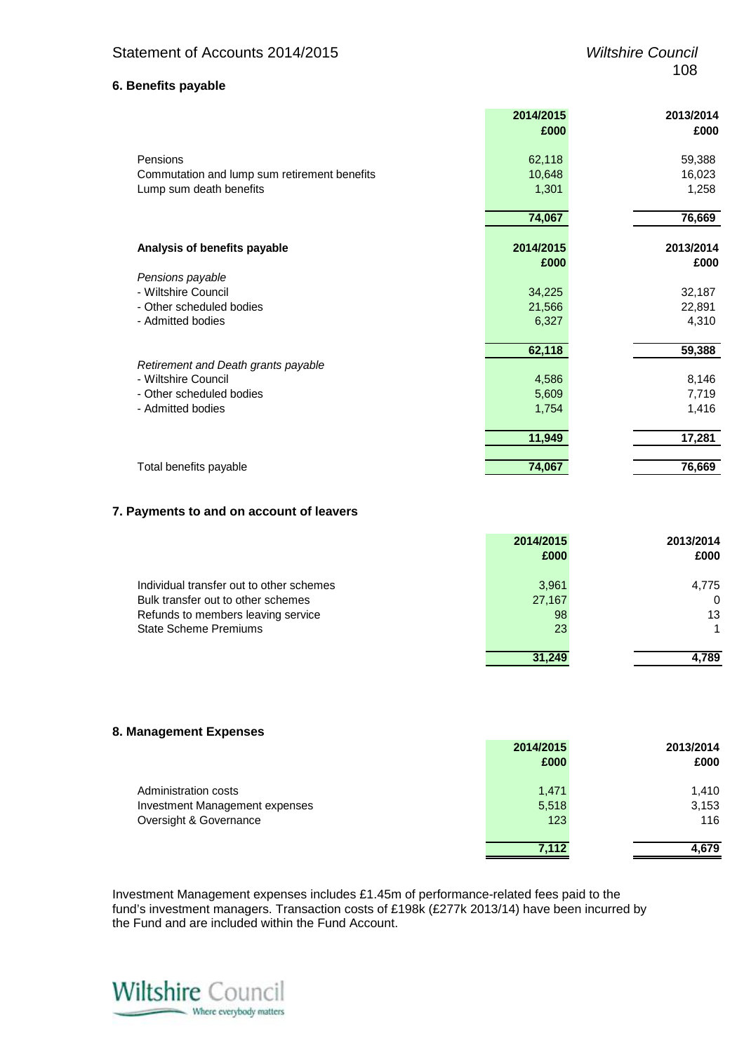### **6. Benefits payable**

|                                              | 2014/2015 | 2013/2014 |
|----------------------------------------------|-----------|-----------|
|                                              | £000      | £000      |
| Pensions                                     | 62,118    | 59,388    |
|                                              |           |           |
| Commutation and lump sum retirement benefits | 10,648    | 16,023    |
| Lump sum death benefits                      | 1,301     | 1,258     |
|                                              | 74,067    | 76,669    |
| Analysis of benefits payable                 | 2014/2015 | 2013/2014 |
|                                              | £000      | £000      |
| Pensions payable                             |           |           |
| - Wiltshire Council                          | 34,225    | 32,187    |
| - Other scheduled bodies                     | 21,566    | 22,891    |
| - Admitted bodies                            | 6,327     | 4,310     |
|                                              | 62,118    | 59,388    |
| Retirement and Death grants payable          |           |           |
| - Wiltshire Council                          | 4,586     | 8,146     |
| - Other scheduled bodies                     | 5,609     | 7,719     |
| - Admitted bodies                            | 1,754     | 1,416     |
|                                              | 11,949    | 17,281    |
|                                              |           |           |
| Total benefits payable                       | 74,067    | 76,669    |

### **7. Payments to and on account of leavers**

|                                          | 2014/2015 | 2013/2014 |
|------------------------------------------|-----------|-----------|
|                                          | £000      | £000      |
| Individual transfer out to other schemes | 3,961     | 4,775     |
| Bulk transfer out to other schemes       | 27,167    | $\Omega$  |
| Refunds to members leaving service       | 98        | 13        |
| <b>State Scheme Premiums</b>             | 23        |           |
|                                          | 31.249    | 4.789     |

### **8. Management Expenses**

|                                | 2014/2015 | 2013/2014 |
|--------------------------------|-----------|-----------|
|                                | £000      | £000      |
| Administration costs           | 1,471     | 1.410     |
| Investment Management expenses | 5,518     | 3,153     |
| Oversight & Governance         | 123       | 116       |
|                                | 7,112     | 4.679     |

Investment Management expenses includes £1.45m of performance-related fees paid to the fund's investment managers. Transaction costs of £198k (£277k 2013/14) have been incurred by the Fund and are included within the Fund Account.

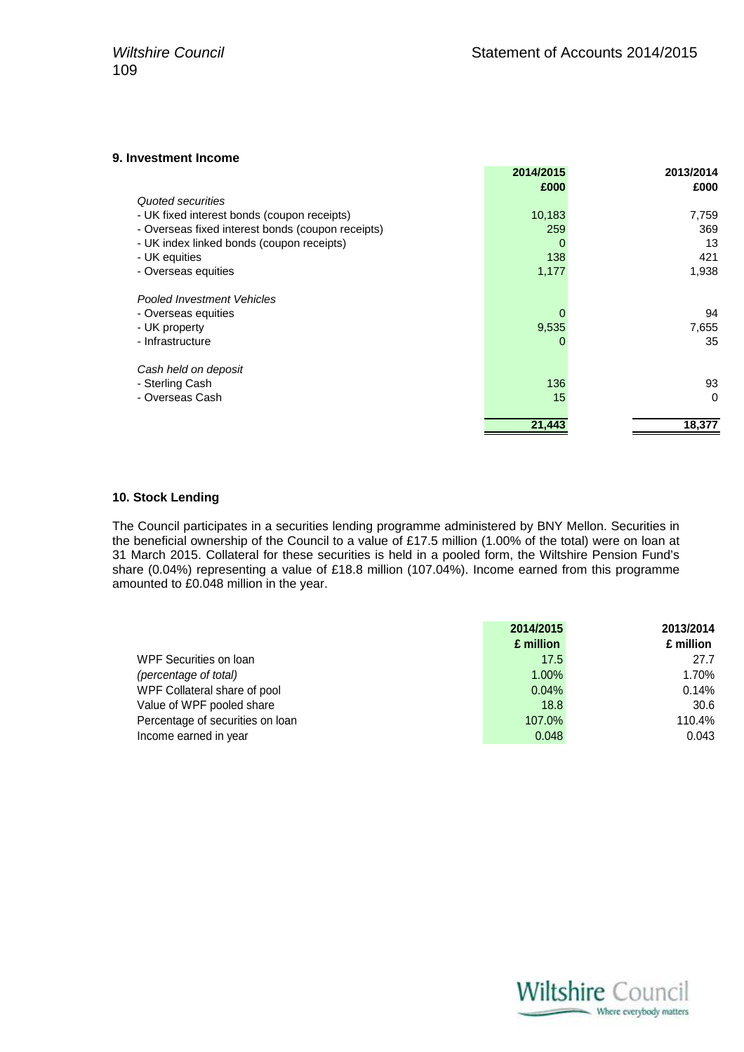### **9. Investment Income**

| 2014/2015 | 2013/2014 |
|-----------|-----------|
| £000      | £000      |
|           |           |
| 10,183    | 7,759     |
| 259       | 369       |
| 0         | 13        |
| 138       | 421       |
| 1,177     | 1,938     |
|           |           |
|           | 94        |
| 9,535     | 7,655     |
|           | 35        |
|           |           |
| 136       | 93        |
| 15        | $\Omega$  |
| 21,443    | 18,377    |
|           |           |

### **10. Stock Lending**

The Council participates in a securities lending programme administered by BNY Mellon. Securities in the beneficial ownership of the Council to a value of £17.5 million (1.00% of the total) were on loan at 31 March 2015. Collateral for these securities is held in a pooled form, the Wiltshire Pension Fund's share (0.04%) representing a value of £18.8 million (107.04%). Income earned from this programme amounted to £0.048 million in the year.

|                                  | 2014/2015 | 2013/2014 |
|----------------------------------|-----------|-----------|
|                                  | £ million | £ million |
| WPF Securities on Ioan           | 17.5      | 27.7      |
| (percentage of total)            | 1.00%     | 1.70%     |
| WPF Collateral share of pool     | 0.04%     | 0.14%     |
| Value of WPF pooled share        | 18.8      | 30.6      |
| Percentage of securities on loan | 107.0%    | 110.4%    |
| Income earned in year            | 0.048     | 0.043     |

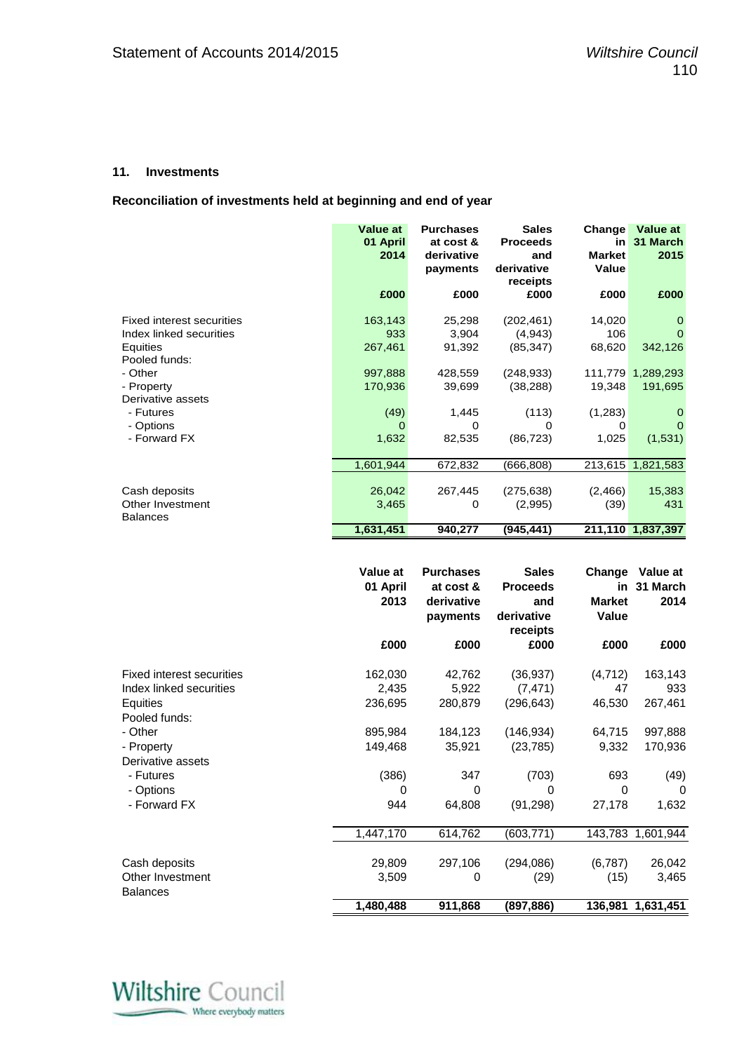### **11. Investments**

**Reconciliation of investments held at beginning and end of year** 

|                                                                                          | <b>Value at</b><br>01 April<br>2014 | <b>Purchases</b><br>at cost &<br>derivative<br>payments | <b>Sales</b><br><b>Proceeds</b><br>and<br>derivative<br>receipts | Change<br>in<br><b>Market</b><br>Value | Value at<br>31 March<br>2015           |
|------------------------------------------------------------------------------------------|-------------------------------------|---------------------------------------------------------|------------------------------------------------------------------|----------------------------------------|----------------------------------------|
|                                                                                          | £000                                | £000                                                    | £000                                                             | £000                                   | £000                                   |
| <b>Fixed interest securities</b><br>Index linked securities<br>Equities<br>Pooled funds: | 163,143<br>933<br>267,461           | 25,298<br>3,904<br>91,392                               | (202, 461)<br>(4,943)<br>(85, 347)                               | 14,020<br>106<br>68,620                | $\mathbf 0$<br>$\Omega$<br>342,126     |
| - Other<br>- Property<br>Derivative assets                                               | 997,888<br>170,936                  | 428,559<br>39,699                                       | (248, 933)<br>(38, 288)                                          | 19,348                                 | 111,779 1,289,293<br>191,695           |
| - Futures<br>- Options<br>- Forward FX                                                   | (49)<br>0<br>1,632                  | 1,445<br>0<br>82,535                                    | (113)<br>0<br>(86, 723)                                          | (1,283)<br>0<br>1,025                  | $\mathbf 0$<br>$\mathbf{0}$<br>(1,531) |
|                                                                                          | 1,601,944                           | 672,832                                                 | (666, 808)                                                       | 213,615                                | 1,821,583                              |
| Cash deposits<br>Other Investment<br><b>Balances</b>                                     | 26,042<br>3,465                     | 267,445<br>0                                            | (275, 638)<br>(2,995)                                            | (2,466)<br>(39)                        | 15,383<br>431                          |
|                                                                                          | 1,631,451                           | 940,277                                                 | (945, 441)                                                       |                                        | 211,110 1,837,397                      |
|                                                                                          |                                     |                                                         |                                                                  |                                        |                                        |
|                                                                                          |                                     |                                                         |                                                                  |                                        |                                        |
|                                                                                          | Value at<br>01 April<br>2013        | <b>Purchases</b><br>at cost &<br>derivative<br>payments | <b>Sales</b><br><b>Proceeds</b><br>and<br>derivative             | Change<br><b>Market</b><br>Value       | Value at<br>in 31 March<br>2014        |
|                                                                                          | £000                                | £000                                                    | receipts<br>£000                                                 | £000                                   | £000                                   |
| <b>Fixed interest securities</b><br>Index linked securities<br>Equities                  | 162,030<br>2,435<br>236,695         | 42,762<br>5,922<br>280,879                              | (36, 937)<br>(7, 471)<br>(296, 643)                              | (4, 712)<br>47<br>46,530               | 163,143<br>933<br>267,461              |
| Pooled funds:<br>- Other<br>- Property<br>Derivative assets                              | 895,984<br>149,468                  | 184,123<br>35,921                                       | (146, 934)<br>(23, 785)                                          | 64,715<br>9,332                        | 997,888<br>170,936                     |
| - Futures<br>- Options<br>- Forward FX                                                   | (386)<br>0<br>944                   | 347<br>0<br>64,808                                      | (703)<br>0<br>(91, 298)                                          | 693<br>0<br>27,178                     | (49)<br>$\Omega$<br>1,632              |
|                                                                                          | 1,447,170                           | 614,762                                                 | (603, 771)                                                       | 143,783                                | 1,601,944                              |



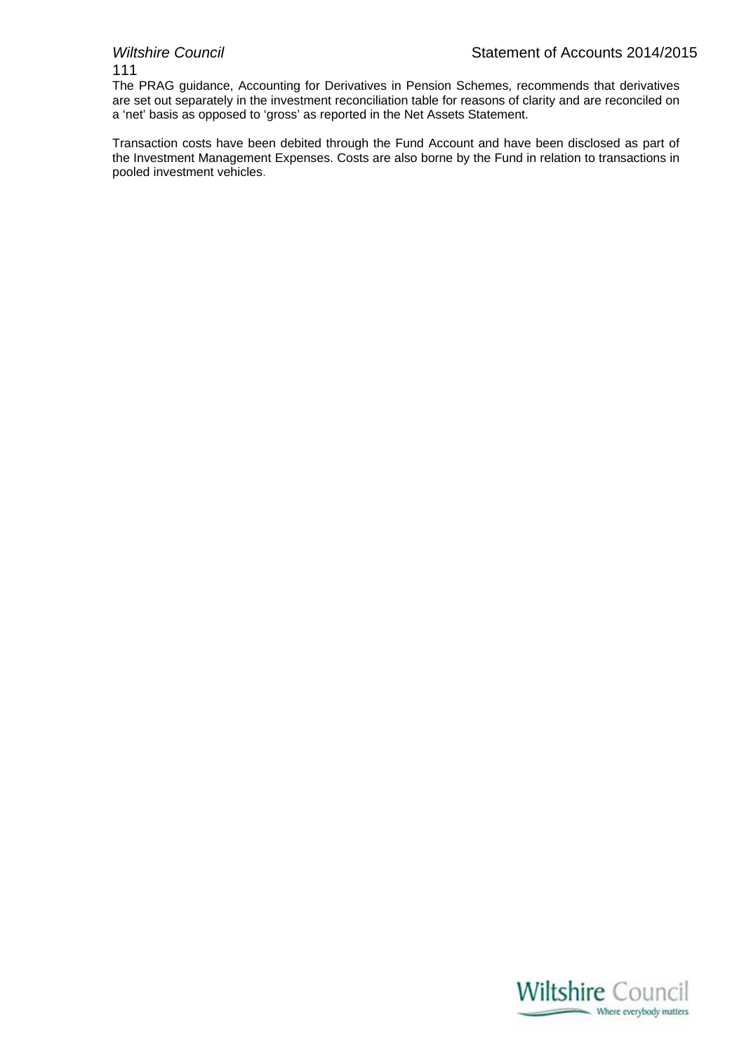111

The PRAG guidance, Accounting for Derivatives in Pension Schemes, recommends that derivatives are set out separately in the investment reconciliation table for reasons of clarity and are reconciled on a 'net' basis as opposed to 'gross' as reported in the Net Assets Statement.

Transaction costs have been debited through the Fund Account and have been disclosed as part of the Investment Management Expenses. Costs are also borne by the Fund in relation to transactions in pooled investment vehicles.

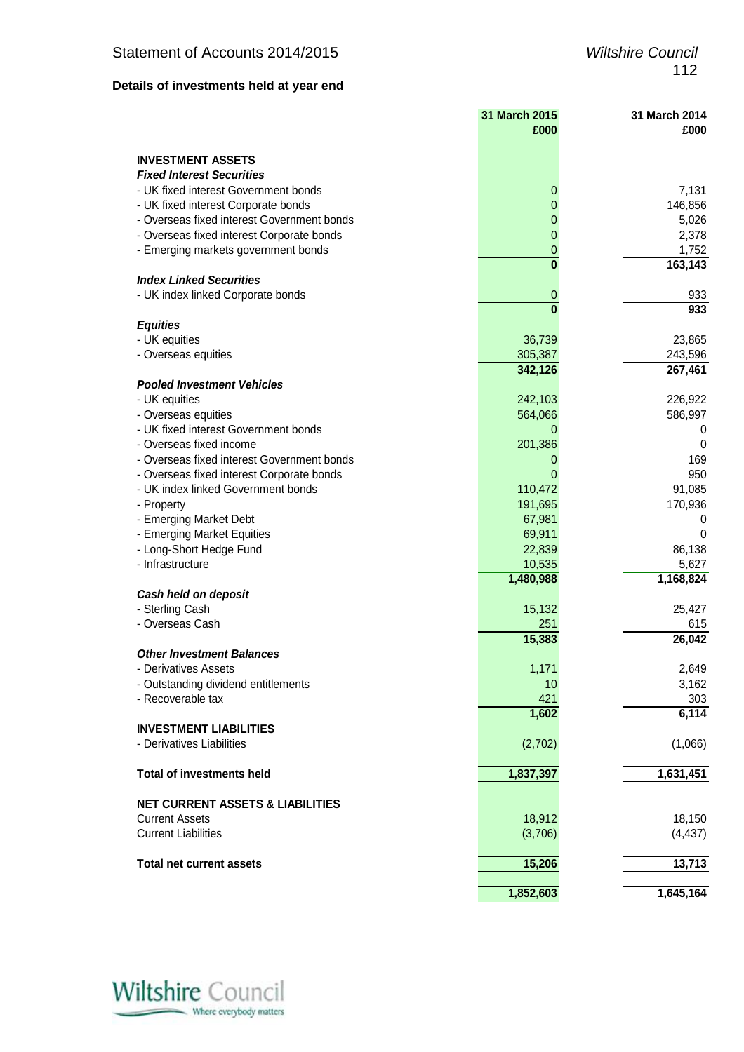## **Details of investments held at year end**

|                                             | 31 March 2015<br>£000 | 31 March 2014<br>£000 |
|---------------------------------------------|-----------------------|-----------------------|
| <b>INVESTMENT ASSETS</b>                    |                       |                       |
| <b>Fixed Interest Securities</b>            |                       |                       |
| - UK fixed interest Government bonds        | 0                     | 7,131                 |
| - UK fixed interest Corporate bonds         | 0                     | 146,856               |
| - Overseas fixed interest Government bonds  | 0                     | 5,026                 |
| - Overseas fixed interest Corporate bonds   | 0                     | 2,378                 |
| - Emerging markets government bonds         | 0                     | 1,752                 |
|                                             | $\bf{0}$              | 163,143               |
| <b>Index Linked Securities</b>              |                       |                       |
| - UK index linked Corporate bonds           | 0                     | 933                   |
|                                             | $\mathbf{0}$          | 933                   |
| <b>Equities</b>                             |                       |                       |
| - UK equities                               | 36,739                | 23,865                |
| - Overseas equities                         | 305,387               | 243,596               |
|                                             | 342,126               | 267,461               |
| <b>Pooled Investment Vehicles</b>           |                       |                       |
| - UK equities                               | 242,103               | 226,922               |
| - Overseas equities                         | 564,066               | 586,997               |
| - UK fixed interest Government bonds        | 0                     | 0                     |
| - Overseas fixed income                     | 201,386               | 0                     |
| - Overseas fixed interest Government bonds  | 0                     | 169                   |
| - Overseas fixed interest Corporate bonds   | 0                     | 950                   |
| - UK index linked Government bonds          | 110,472               | 91,085                |
| - Property                                  | 191,695               | 170,936               |
| - Emerging Market Debt                      | 67,981                | 0                     |
| - Emerging Market Equities                  | 69,911                | 0                     |
| - Long-Short Hedge Fund                     | 22,839                | 86,138                |
| - Infrastructure                            | 10,535                | 5,627                 |
|                                             | 1,480,988             | 1,168,824             |
| Cash held on deposit                        |                       |                       |
| - Sterling Cash                             | 15,132                | 25,427                |
| - Overseas Cash                             | 251                   | 615                   |
|                                             | 15,383                | 26,042                |
| <b>Other Investment Balances</b>            |                       |                       |
| - Derivatives Assets                        | 1,171                 | 2,649                 |
| - Outstanding dividend entitlements         | 10                    | 3,162                 |
| - Recoverable tax                           | 421                   | 303                   |
|                                             | 1,602                 | 6,114                 |
| <b>INVESTMENT LIABILITIES</b>               |                       |                       |
| - Derivatives Liabilities                   | (2,702)               | (1,066)               |
| <b>Total of investments held</b>            | 1,837,397             | 1,631,451             |
|                                             |                       |                       |
| <b>NET CURRENT ASSETS &amp; LIABILITIES</b> |                       |                       |
| <b>Current Assets</b>                       | 18,912                | 18,150                |
| <b>Current Liabilities</b>                  | (3,706)               | (4, 437)              |
| <b>Total net current assets</b>             | 15,206                | 13,713                |
|                                             |                       |                       |
|                                             | 1,852,603             | 1,645,164             |

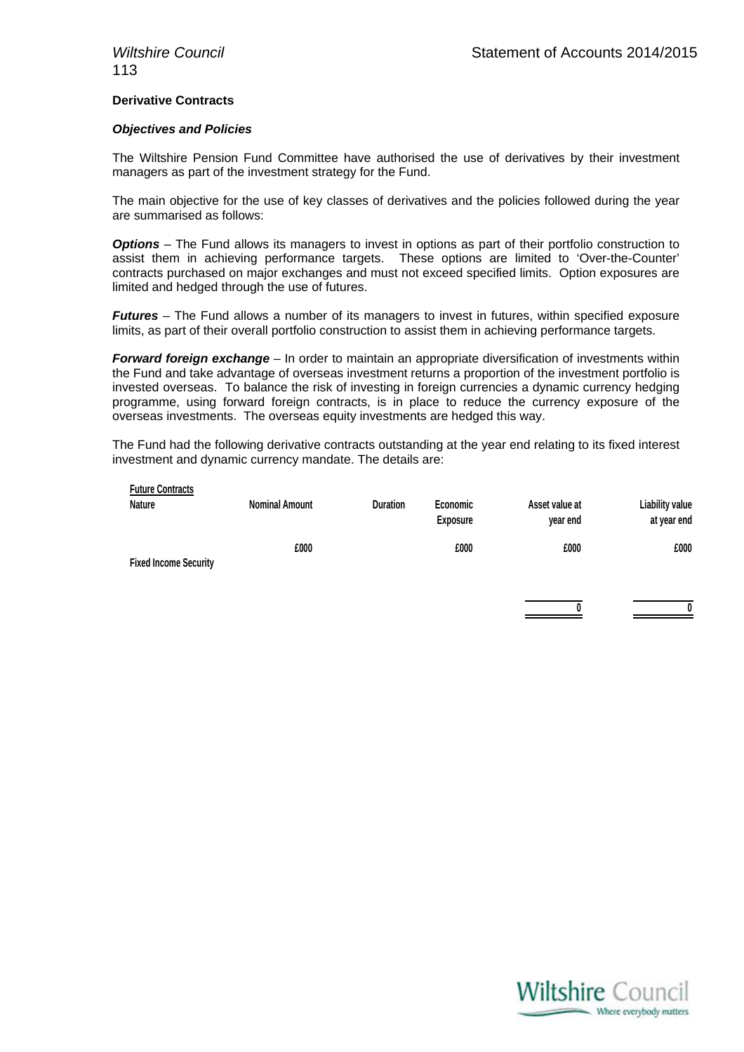### **Derivative Contracts**

### *Objectives and Policies*

The Wiltshire Pension Fund Committee have authorised the use of derivatives by their investment managers as part of the investment strategy for the Fund.

The main objective for the use of key classes of derivatives and the policies followed during the year are summarised as follows:

**Options** – The Fund allows its managers to invest in options as part of their portfolio construction to assist them in achieving performance targets. These options are limited to 'Over-the-Counter' contracts purchased on major exchanges and must not exceed specified limits. Option exposures are limited and hedged through the use of futures.

*Futures* – The Fund allows a number of its managers to invest in futures, within specified exposure limits, as part of their overall portfolio construction to assist them in achieving performance targets.

*Forward foreign exchange* – In order to maintain an appropriate diversification of investments within the Fund and take advantage of overseas investment returns a proportion of the investment portfolio is invested overseas. To balance the risk of investing in foreign currencies a dynamic currency hedging programme, using forward foreign contracts, is in place to reduce the currency exposure of the overseas investments. The overseas equity investments are hedged this way.

The Fund had the following derivative contracts outstanding at the year end relating to its fixed interest investment and dynamic currency mandate. The details are:

| <b>Future Contracts</b><br><b>Nature</b> | <b>Nominal Amount</b> | <b>Duration</b> | Economic<br><b>Exposure</b> | Asset value at<br>year end | <b>Liability value</b><br>at year end |
|------------------------------------------|-----------------------|-----------------|-----------------------------|----------------------------|---------------------------------------|
| <b>Fixed Income Security</b>             | £000                  |                 | £000                        | £000                       | £000                                  |

**0 0**

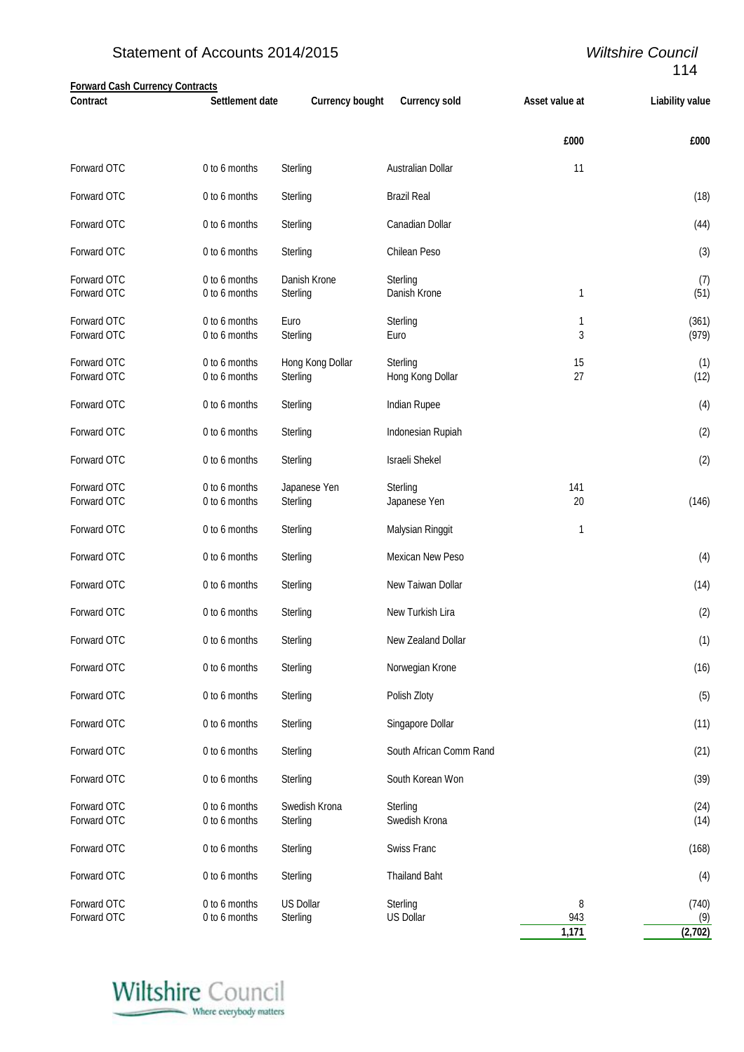# Statement of Accounts 2014/2015 *Wiltshire Council*

# 114

| <b>Forward Cash Currency Contracts</b> |                                |                              |                              |                |                        |
|----------------------------------------|--------------------------------|------------------------------|------------------------------|----------------|------------------------|
| <b>Contract</b>                        | Settlement date                | <b>Currency bought</b>       | <b>Currency sold</b>         | Asset value at | <b>Liability value</b> |
|                                        |                                |                              |                              | £000           | £000                   |
| Forward OTC                            | 0 to 6 months                  | Sterling                     | Australian Dollar            | 11             |                        |
| Forward OTC                            | 0 to 6 months                  | Sterling                     | <b>Brazil Real</b>           |                | (18)                   |
| Forward OTC                            | 0 to 6 months                  | Sterling                     | Canadian Dollar              |                | (44)                   |
| Forward OTC                            | 0 to 6 months                  | Sterling                     | Chilean Peso                 |                | (3)                    |
| Forward OTC                            | 0 to 6 months                  | Danish Krone                 | Sterling                     |                | (7)                    |
| Forward OTC                            | 0 to 6 months                  | Sterling                     | Danish Krone                 | 1              | (51)                   |
| Forward OTC                            | 0 to 6 months                  | Euro                         |                              |                |                        |
| Forward OTC                            | 0 to 6 months                  | Sterling                     | Sterling<br>Euro             | 1<br>3         | (361)<br>(979)         |
|                                        |                                |                              |                              |                |                        |
| Forward OTC<br>Forward OTC             | 0 to 6 months<br>0 to 6 months | Hong Kong Dollar<br>Sterling | Sterling<br>Hong Kong Dollar | 15<br>27       | (1)<br>(12)            |
|                                        |                                |                              |                              |                |                        |
| Forward OTC                            | 0 to 6 months                  | Sterling                     | Indian Rupee                 |                | (4)                    |
| Forward OTC                            | 0 to 6 months                  | Sterling                     | Indonesian Rupiah            |                | (2)                    |
| Forward OTC                            | 0 to 6 months                  | Sterling                     | <b>Israeli Shekel</b>        |                | (2)                    |
| Forward OTC                            | 0 to 6 months                  | Japanese Yen                 | Sterling                     | 141            |                        |
| Forward OTC                            | 0 to 6 months                  | Sterling                     | Japanese Yen                 | 20             | (146)                  |
| Forward OTC                            | 0 to 6 months                  | Sterling                     | Malysian Ringgit             | 1              |                        |
| Forward OTC                            | 0 to 6 months                  | Sterling                     | Mexican New Peso             |                | (4)                    |
| Forward OTC                            | 0 to 6 months                  | Sterling                     | New Taiwan Dollar            |                | (14)                   |
| Forward OTC                            | 0 to 6 months                  | Sterling                     | New Turkish Lira             |                | (2)                    |
| Forward OTC                            | 0 to 6 months                  | Sterling                     | New Zealand Dollar           |                | (1)                    |
| Forward OTC                            | 0 to 6 months                  | Sterling                     | Norwegian Krone              |                | (16)                   |
| Forward OTC                            | 0 to 6 months                  | Sterling                     | Polish Zloty                 |                | (5)                    |
| Forward OTC                            | 0 to 6 months                  | Sterling                     | Singapore Dollar             |                | (11)                   |
| Forward OTC                            | 0 to 6 months                  | Sterling                     | South African Comm Rand      |                | (21)                   |
| Forward OTC                            | 0 to 6 months                  | Sterling                     | South Korean Won             |                | (39)                   |
| Forward OTC                            | 0 to 6 months                  | Swedish Krona                | Sterling                     |                | (24)                   |
| Forward OTC                            | 0 to 6 months                  | Sterling                     | Swedish Krona                |                | (14)                   |
| Forward OTC                            | 0 to 6 months                  | Sterling                     | Swiss Franc                  |                | (168)                  |
| Forward OTC                            | 0 to 6 months                  | Sterling                     | <b>Thailand Baht</b>         |                | (4)                    |
| Forward OTC                            | 0 to 6 months                  | <b>US Dollar</b>             | Sterling                     | 8              | (740)                  |
| Forward OTC                            | 0 to 6 months                  | Sterling                     | <b>US Dollar</b>             | 943<br>1,171   | (9)<br>(2,702)         |
|                                        |                                |                              |                              |                |                        |

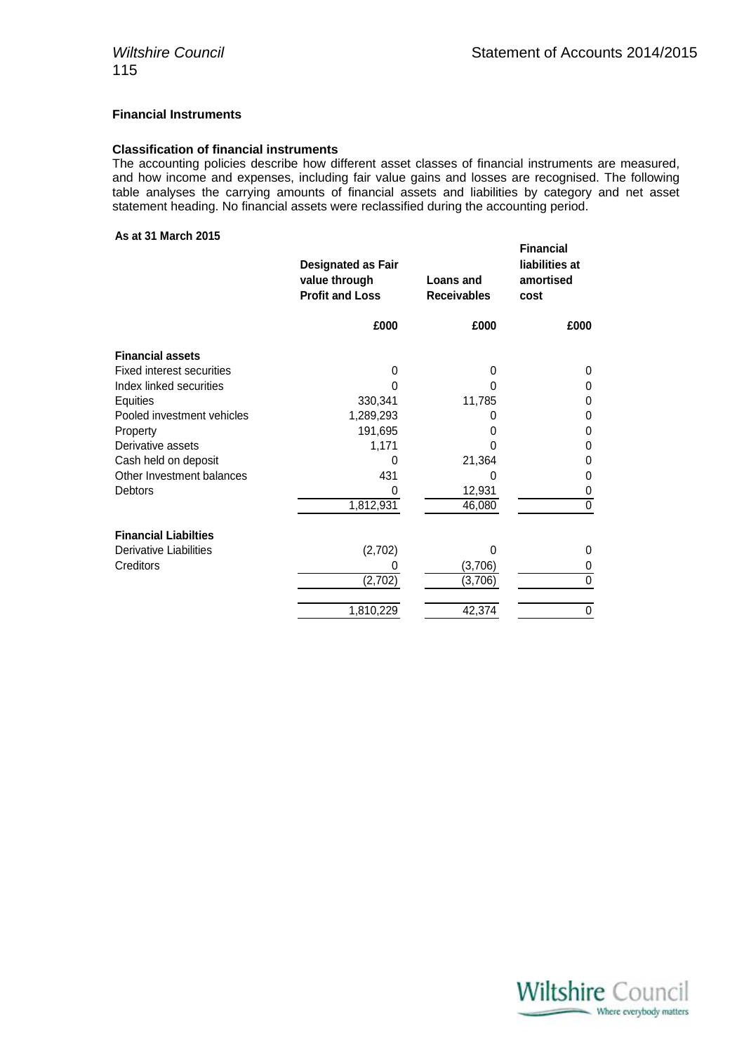### **Financial Instruments**

### **Classification of financial instruments**

The accounting policies describe how different asset classes of financial instruments are measured, and how income and expenses, including fair value gains and losses are recognised. The following table analyses the carrying amounts of financial assets and liabilities by category and net asset statement heading. No financial assets were reclassified during the accounting period.

### **As at 31 March 2015**

|                                  | <b>Designated as Fair</b><br>value through<br><b>Profit and Loss</b> | Loans and<br><b>Receivables</b> | <b>Financial</b><br>liabilities at<br>amortised<br>cost |
|----------------------------------|----------------------------------------------------------------------|---------------------------------|---------------------------------------------------------|
|                                  | £000                                                                 | £000                            | £000                                                    |
| <b>Financial assets</b>          |                                                                      |                                 |                                                         |
| <b>Fixed interest securities</b> | $\mathbf{0}$                                                         | 0                               | 0                                                       |
| Index linked securities          | U                                                                    | 0                               | 0                                                       |
| Equities                         | 330,341                                                              | 11,785                          | $\Omega$                                                |
| Pooled investment vehicles       | 1,289,293                                                            | O                               | 0                                                       |
| Property                         | 191,695                                                              | 0                               | 0                                                       |
| Derivative assets                | 1,171                                                                | 0                               | 0                                                       |
| Cash held on deposit             | 0                                                                    | 21,364                          | 0                                                       |
| Other Investment balances        | 431                                                                  | 0                               | 0                                                       |
| <b>Debtors</b>                   | 0                                                                    | 12,931                          | 0                                                       |
|                                  | 1,812,931                                                            | 46,080                          | 0                                                       |
| <b>Financial Liabilties</b>      |                                                                      |                                 |                                                         |
| Derivative Liabilities           | (2,702)                                                              | 0                               | 0                                                       |
| <b>Creditors</b>                 | 0                                                                    | (3,706)                         | 0                                                       |
|                                  | (2,702)                                                              | (3,706)                         | $\mathbf 0$                                             |
|                                  | 1,810,229                                                            | 42,374                          | 0                                                       |

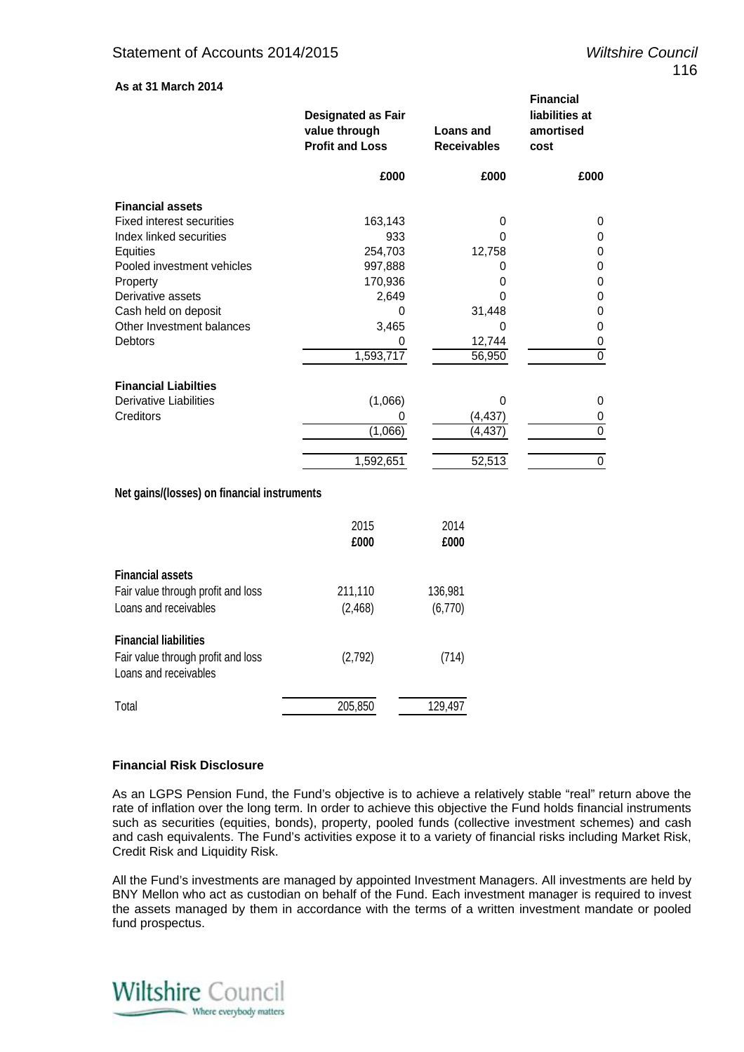**Financial** 

### **As at 31 March 2014**

|                                  | <b>Designated as Fair</b><br>value through<br><b>Profit and Loss</b> | Loans and<br><b>Receivables</b> | <u>Filianuidi</u><br>liabilities at<br>amortised<br>cost |
|----------------------------------|----------------------------------------------------------------------|---------------------------------|----------------------------------------------------------|
|                                  | £000                                                                 | £000                            | £000                                                     |
| <b>Financial assets</b>          |                                                                      |                                 |                                                          |
| <b>Fixed interest securities</b> | 163,143                                                              | 0                               | 0                                                        |
| Index linked securities          | 933                                                                  | $\Omega$                        | 0                                                        |
| Equities                         | 254,703                                                              | 12,758                          | 0                                                        |
| Pooled investment vehicles       | 997,888                                                              |                                 | 0                                                        |
| Property                         | 170,936                                                              | 0                               | 0                                                        |
| Derivative assets                | 2,649                                                                | O                               | 0                                                        |
| Cash held on deposit             | 0                                                                    | 31,448                          | 0                                                        |
| Other Investment balances        | 3,465                                                                | 0                               | 0                                                        |
| <b>Debtors</b>                   | 0                                                                    | 12,744                          | 0                                                        |
|                                  | 1,593,717                                                            | 56,950                          | $\mathbf 0$                                              |
| <b>Financial Liabilties</b>      |                                                                      |                                 |                                                          |
| <b>Derivative Liabilities</b>    | (1,066)                                                              | 0                               | 0                                                        |
| Creditors                        | 0                                                                    | (4, 437)                        | 0                                                        |
|                                  | (1,066)                                                              | (4, 437)                        | 0                                                        |
|                                  | 1,592,651                                                            | 52,513                          | 0                                                        |
|                                  |                                                                      |                                 |                                                          |

### **Net gains/(losses) on financial instruments**

|                                                             | 2015<br>£000 | 2014<br>£000 |
|-------------------------------------------------------------|--------------|--------------|
| <b>Financial assets</b>                                     |              |              |
| Fair value through profit and loss                          | 211,110      | 136,981      |
| Loans and receivables                                       | (2, 468)     | (6,770)      |
| <b>Financial liabilities</b>                                |              |              |
| Fair value through profit and loss<br>Loans and receivables | (2,792)      | (714)        |
| Total                                                       | 205,850      | 129,497      |

### **Financial Risk Disclosure**

As an LGPS Pension Fund, the Fund's objective is to achieve a relatively stable "real" return above the rate of inflation over the long term. In order to achieve this objective the Fund holds financial instruments such as securities (equities, bonds), property, pooled funds (collective investment schemes) and cash and cash equivalents. The Fund's activities expose it to a variety of financial risks including Market Risk, Credit Risk and Liquidity Risk.

All the Fund's investments are managed by appointed Investment Managers. All investments are held by BNY Mellon who act as custodian on behalf of the Fund. Each investment manager is required to invest the assets managed by them in accordance with the terms of a written investment mandate or pooled fund prospectus.

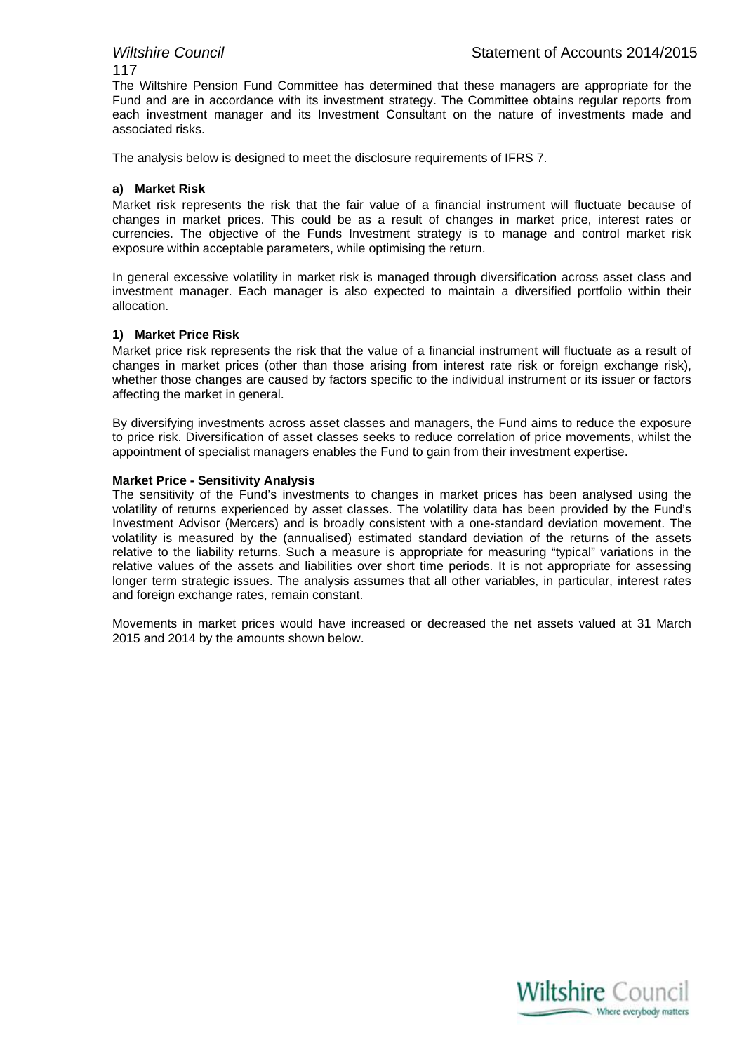### 117

The Wiltshire Pension Fund Committee has determined that these managers are appropriate for the Fund and are in accordance with its investment strategy. The Committee obtains regular reports from each investment manager and its Investment Consultant on the nature of investments made and associated risks.

The analysis below is designed to meet the disclosure requirements of IFRS 7.

### **a) Market Risk**

Market risk represents the risk that the fair value of a financial instrument will fluctuate because of changes in market prices. This could be as a result of changes in market price, interest rates or currencies. The objective of the Funds Investment strategy is to manage and control market risk exposure within acceptable parameters, while optimising the return.

In general excessive volatility in market risk is managed through diversification across asset class and investment manager. Each manager is also expected to maintain a diversified portfolio within their allocation.

### **1) Market Price Risk**

Market price risk represents the risk that the value of a financial instrument will fluctuate as a result of changes in market prices (other than those arising from interest rate risk or foreign exchange risk), whether those changes are caused by factors specific to the individual instrument or its issuer or factors affecting the market in general.

By diversifying investments across asset classes and managers, the Fund aims to reduce the exposure to price risk. Diversification of asset classes seeks to reduce correlation of price movements, whilst the appointment of specialist managers enables the Fund to gain from their investment expertise.

### **Market Price - Sensitivity Analysis**

The sensitivity of the Fund's investments to changes in market prices has been analysed using the volatility of returns experienced by asset classes. The volatility data has been provided by the Fund's Investment Advisor (Mercers) and is broadly consistent with a one-standard deviation movement. The volatility is measured by the (annualised) estimated standard deviation of the returns of the assets relative to the liability returns. Such a measure is appropriate for measuring "typical" variations in the relative values of the assets and liabilities over short time periods. It is not appropriate for assessing longer term strategic issues. The analysis assumes that all other variables, in particular, interest rates and foreign exchange rates, remain constant.

Movements in market prices would have increased or decreased the net assets valued at 31 March 2015 and 2014 by the amounts shown below.

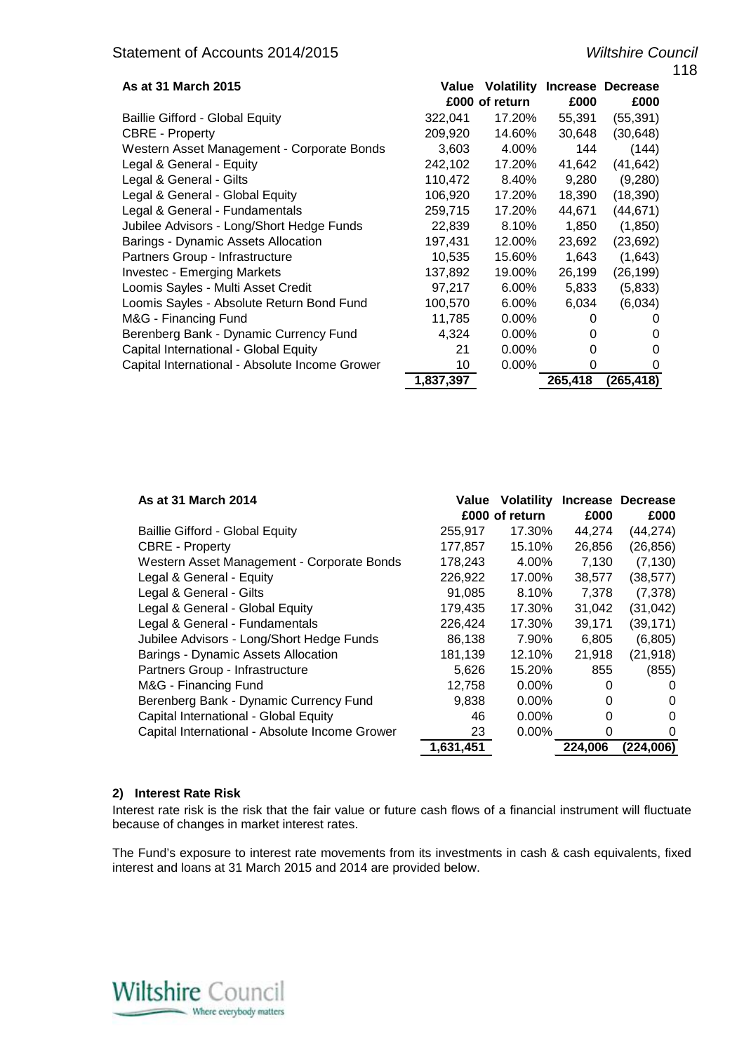|                                                |              |                |         |                                     | 118 |
|------------------------------------------------|--------------|----------------|---------|-------------------------------------|-----|
| As at 31 March 2015                            | <b>Value</b> |                |         | <b>Volatility Increase Decrease</b> |     |
|                                                |              | £000 of return | £000    | £000                                |     |
| <b>Baillie Gifford - Global Equity</b>         | 322,041      | 17.20%         | 55,391  | (55, 391)                           |     |
| <b>CBRE</b> - Property                         | 209,920      | 14.60%         | 30,648  | (30, 648)                           |     |
| Western Asset Management - Corporate Bonds     | 3,603        | 4.00%          | 144     | (144)                               |     |
| Legal & General - Equity                       | 242,102      | 17.20%         | 41,642  | (41, 642)                           |     |
| Legal & General - Gilts                        | 110,472      | 8.40%          | 9,280   | (9,280)                             |     |
| Legal & General - Global Equity                | 106,920      | 17.20%         | 18,390  | (18, 390)                           |     |
| Legal & General - Fundamentals                 | 259,715      | 17.20%         | 44,671  | (44, 671)                           |     |
| Jubilee Advisors - Long/Short Hedge Funds      | 22,839       | 8.10%          | 1,850   | (1,850)                             |     |
| Barings - Dynamic Assets Allocation            | 197,431      | 12.00%         | 23,692  | (23, 692)                           |     |
| Partners Group - Infrastructure                | 10,535       | 15.60%         | 1,643   | (1,643)                             |     |
| <b>Investec - Emerging Markets</b>             | 137,892      | 19.00%         | 26,199  | (26, 199)                           |     |
| Loomis Sayles - Multi Asset Credit             | 97,217       | $6.00\%$       | 5,833   | (5,833)                             |     |
| Loomis Sayles - Absolute Return Bond Fund      | 100,570      | $6.00\%$       | 6,034   | (6,034)                             |     |
| M&G - Financing Fund                           | 11,785       | $0.00\%$       | O       | 0                                   |     |
| Berenberg Bank - Dynamic Currency Fund         | 4,324        | $0.00\%$       | O       | 0                                   |     |
| Capital International - Global Equity          | 21           | 0.00%          | 0       | 0                                   |     |
| Capital International - Absolute Income Grower | 10           | $0.00\%$       | 0       | 0                                   |     |
|                                                | 1,837,397    |                | 265,418 | (265,418)                           |     |

| As at 31 March 2014                            | Value     | <b>Volatility</b> |         | Increase Decrease |
|------------------------------------------------|-----------|-------------------|---------|-------------------|
|                                                |           | £000 of return    | £000    | £000              |
| <b>Baillie Gifford - Global Equity</b>         | 255,917   | 17.30%            | 44,274  | (44, 274)         |
| <b>CBRE - Property</b>                         | 177,857   | 15.10%            | 26,856  | (26, 856)         |
| Western Asset Management - Corporate Bonds     | 178,243   | 4.00%             | 7,130   | (7, 130)          |
| Legal & General - Equity                       | 226,922   | 17.00%            | 38,577  | (38, 577)         |
| Legal & General - Gilts                        | 91,085    | 8.10%             | 7,378   | (7,378)           |
| Legal & General - Global Equity                | 179,435   | 17.30%            | 31,042  | (31, 042)         |
| Legal & General - Fundamentals                 | 226,424   | 17.30%            | 39,171  | (39, 171)         |
| Jubilee Advisors - Long/Short Hedge Funds      | 86,138    | 7.90%             | 6,805   | (6,805)           |
| Barings - Dynamic Assets Allocation            | 181,139   | 12.10%            | 21,918  | (21, 918)         |
| Partners Group - Infrastructure                | 5,626     | 15.20%            | 855     | (855)             |
| M&G - Financing Fund                           | 12,758    | $0.00\%$          | 0       | $\Omega$          |
| Berenberg Bank - Dynamic Currency Fund         | 9,838     | $0.00\%$          | 0       | 0                 |
| Capital International - Global Equity          | 46        | $0.00\%$          | 0       | 0                 |
| Capital International - Absolute Income Grower | 23        | $0.00\%$          | 0       | 0                 |
|                                                | 1.631.451 |                   | 224.006 | (224.006)         |

### **2) Interest Rate Risk**

Interest rate risk is the risk that the fair value or future cash flows of a financial instrument will fluctuate because of changes in market interest rates.

The Fund's exposure to interest rate movements from its investments in cash & cash equivalents, fixed interest and loans at 31 March 2015 and 2014 are provided below.

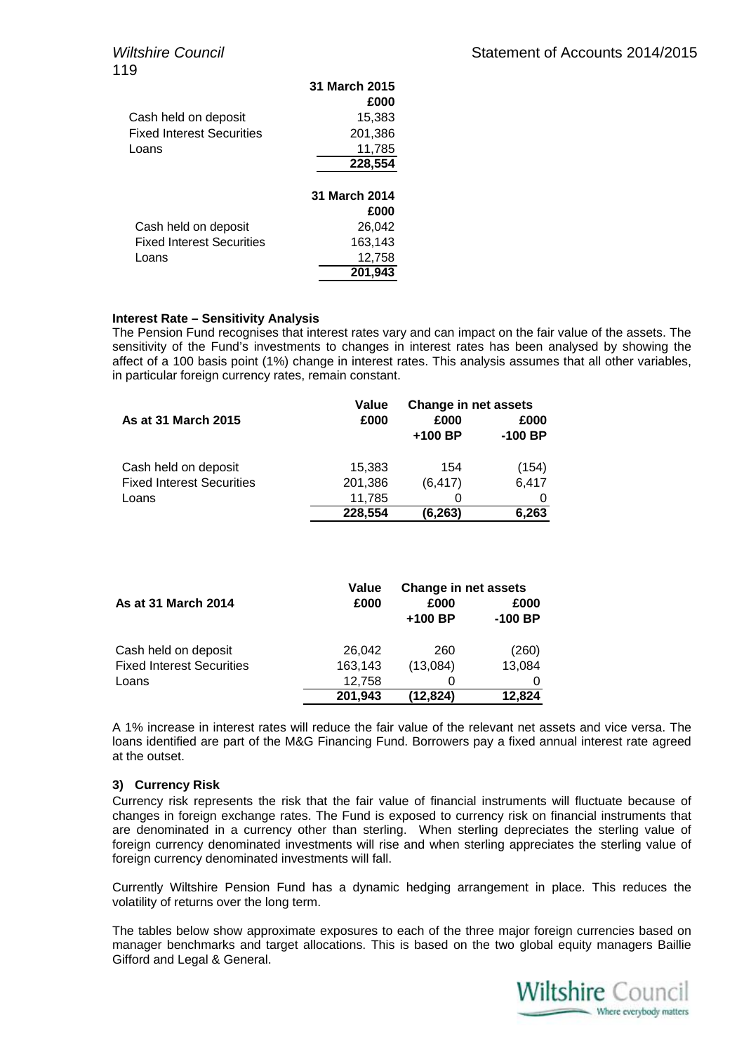|                                  | 31 March 2015 |
|----------------------------------|---------------|
|                                  | £000          |
| Cash held on deposit             | 15,383        |
| <b>Fixed Interest Securities</b> | 201,386       |
| Loans                            | 11,785        |
|                                  | 228,554       |
|                                  |               |
|                                  | 31 March 2014 |
|                                  | £000          |
| Cash held on deposit             | 26.042        |
| <b>Fixed Interest Securities</b> | 163,143       |
| Loans                            | 12,758        |
|                                  | 201.943       |

### **Interest Rate – Sensitivity Analysis**

The Pension Fund recognises that interest rates vary and can impact on the fair value of the assets. The sensitivity of the Fund's investments to changes in interest rates has been analysed by showing the affect of a 100 basis point (1%) change in interest rates. This analysis assumes that all other variables, in particular foreign currency rates, remain constant.

|                                  | Value   | <b>Change in net assets</b> |                   |
|----------------------------------|---------|-----------------------------|-------------------|
| <b>As at 31 March 2015</b>       | £000    | £000<br>$+100$ BP           | £000<br>$-100$ BP |
| Cash held on deposit             | 15,383  | 154                         | (154)             |
| <b>Fixed Interest Securities</b> | 201,386 | (6, 417)                    | 6,417             |
| Loans                            | 11,785  |                             |                   |
|                                  | 228,554 | (6,263)                     | 6,263             |

|                                  | Value   | <b>Change in net assets</b> |           |  |
|----------------------------------|---------|-----------------------------|-----------|--|
| <b>As at 31 March 2014</b>       | £000    | £000                        | £000      |  |
|                                  |         | $+100$ BP                   | $-100$ BP |  |
| Cash held on deposit             | 26.042  | 260                         | (260)     |  |
| <b>Fixed Interest Securities</b> | 163,143 | (13,084)                    | 13,084    |  |
| Loans                            | 12,758  |                             |           |  |
|                                  | 201,943 | (12,824)                    | 12,824    |  |

A 1% increase in interest rates will reduce the fair value of the relevant net assets and vice versa. The loans identified are part of the M&G Financing Fund. Borrowers pay a fixed annual interest rate agreed at the outset.

### **3) Currency Risk**

Currency risk represents the risk that the fair value of financial instruments will fluctuate because of changes in foreign exchange rates. The Fund is exposed to currency risk on financial instruments that are denominated in a currency other than sterling. When sterling depreciates the sterling value of foreign currency denominated investments will rise and when sterling appreciates the sterling value of foreign currency denominated investments will fall.

Currently Wiltshire Pension Fund has a dynamic hedging arrangement in place. This reduces the volatility of returns over the long term.

The tables below show approximate exposures to each of the three major foreign currencies based on manager benchmarks and target allocations. This is based on the two global equity managers Baillie Gifford and Legal & General.

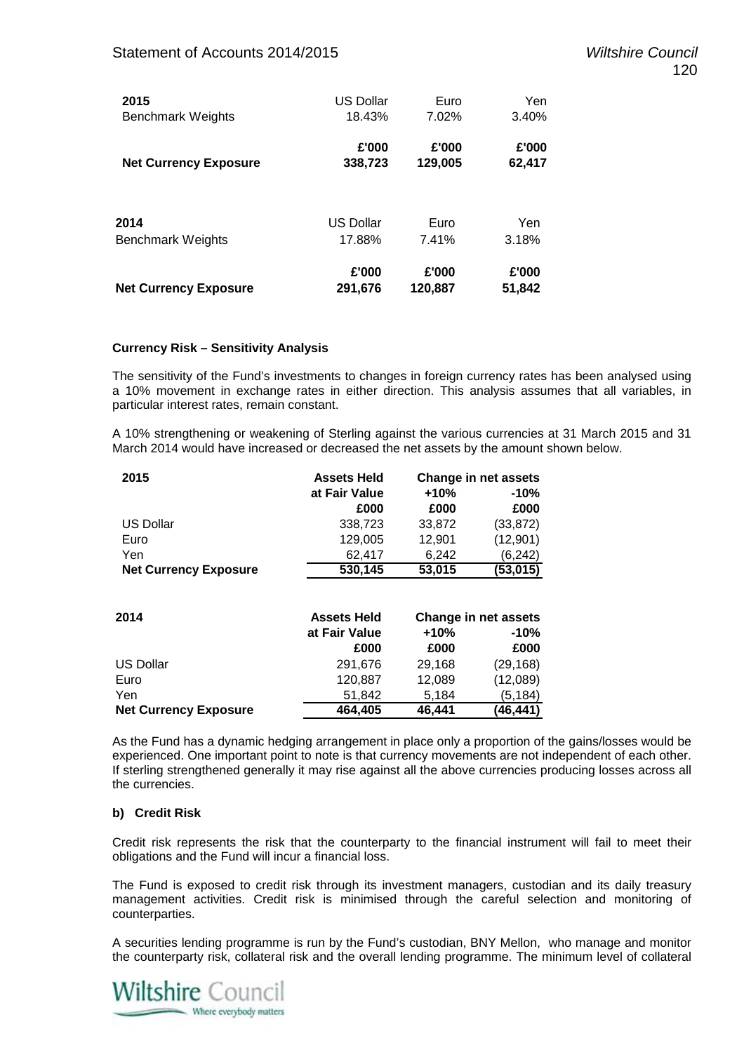| 2015                         | <b>US Dollar</b> | Euro    | Yen    |
|------------------------------|------------------|---------|--------|
| <b>Benchmark Weights</b>     | 18.43%           | 7.02%   | 3.40%  |
| <b>Net Currency Exposure</b> | £'000            | £'000   | £'000  |
|                              | 338,723          | 129,005 | 62,417 |
| 2014                         | <b>US Dollar</b> | Euro    | Yen    |
| <b>Benchmark Weights</b>     | 17.88%           | 7.41%   | 3.18%  |
| <b>Net Currency Exposure</b> | £'000            | £'000   | £'000  |
|                              | 291,676          | 120,887 | 51,842 |

### **Currency Risk – Sensitivity Analysis**

The sensitivity of the Fund's investments to changes in foreign currency rates has been analysed using a 10% movement in exchange rates in either direction. This analysis assumes that all variables, in particular interest rates, remain constant.

A 10% strengthening or weakening of Sterling against the various currencies at 31 March 2015 and 31 March 2014 would have increased or decreased the net assets by the amount shown below.

| 2015                         | <b>Assets Held</b> | Change in net assets |           |
|------------------------------|--------------------|----------------------|-----------|
|                              | at Fair Value      | $+10%$               | -10%      |
|                              | £000               | £000                 | £000      |
| <b>US Dollar</b>             | 338,723            | 33,872               | (33, 872) |
| Euro                         | 129,005            | 12,901               | (12,901)  |
| Yen                          | 62.417             | 6,242                | (6, 242)  |
| <b>Net Currency Exposure</b> | 530,145            | 53,015               | (53,015)  |
|                              |                    |                      |           |

| 2014                         | <b>Assets Held</b> | <b>Change in net assets</b> |           |  |
|------------------------------|--------------------|-----------------------------|-----------|--|
|                              | at Fair Value      | $+10%$                      | $-10%$    |  |
|                              | £000               | £000                        | £000      |  |
| US Dollar                    | 291,676            | 29.168                      | (29, 168) |  |
| Euro                         | 120,887            | 12,089                      | (12,089)  |  |
| Yen                          | 51.842             | 5.184                       | (5,184)   |  |
| <b>Net Currency Exposure</b> | 464,405            | 46,441                      | (46,441)  |  |

As the Fund has a dynamic hedging arrangement in place only a proportion of the gains/losses would be experienced. One important point to note is that currency movements are not independent of each other. If sterling strengthened generally it may rise against all the above currencies producing losses across all the currencies.

### **b) Credit Risk**

Credit risk represents the risk that the counterparty to the financial instrument will fail to meet their obligations and the Fund will incur a financial loss.

The Fund is exposed to credit risk through its investment managers, custodian and its daily treasury management activities. Credit risk is minimised through the careful selection and monitoring of counterparties.

A securities lending programme is run by the Fund's custodian, BNY Mellon, who manage and monitor the counterparty risk, collateral risk and the overall lending programme. The minimum level of collateral

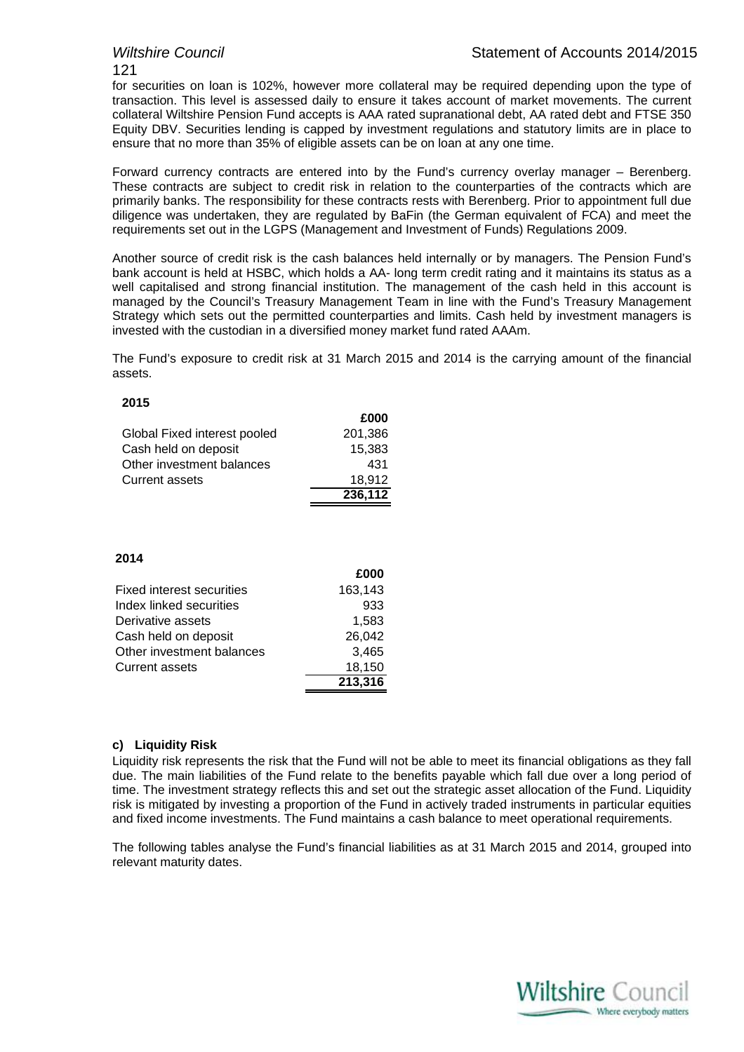### 121

for securities on loan is 102%, however more collateral may be required depending upon the type of transaction. This level is assessed daily to ensure it takes account of market movements. The current collateral Wiltshire Pension Fund accepts is AAA rated supranational debt, AA rated debt and FTSE 350 Equity DBV. Securities lending is capped by investment regulations and statutory limits are in place to ensure that no more than 35% of eligible assets can be on loan at any one time.

Forward currency contracts are entered into by the Fund's currency overlay manager – Berenberg. These contracts are subject to credit risk in relation to the counterparties of the contracts which are primarily banks. The responsibility for these contracts rests with Berenberg. Prior to appointment full due diligence was undertaken, they are regulated by BaFin (the German equivalent of FCA) and meet the requirements set out in the LGPS (Management and Investment of Funds) Regulations 2009.

Another source of credit risk is the cash balances held internally or by managers. The Pension Fund's bank account is held at HSBC, which holds a AA- long term credit rating and it maintains its status as a well capitalised and strong financial institution. The management of the cash held in this account is managed by the Council's Treasury Management Team in line with the Fund's Treasury Management Strategy which sets out the permitted counterparties and limits. Cash held by investment managers is invested with the custodian in a diversified money market fund rated AAAm.

The Fund's exposure to credit risk at 31 March 2015 and 2014 is the carrying amount of the financial assets.

**£000**

### **2015**

|                              | £000    |
|------------------------------|---------|
| Global Fixed interest pooled | 201.386 |
| Cash held on deposit         | 15.383  |
| Other investment balances    | 431     |
| <b>Current assets</b>        | 18.912  |
|                              | 236,112 |

### **2014**

|                                  | zuuu    |
|----------------------------------|---------|
| <b>Fixed interest securities</b> | 163,143 |
| Index linked securities          | 933     |
| Derivative assets                | 1,583   |
| Cash held on deposit             | 26,042  |
| Other investment balances        | 3,465   |
| <b>Current assets</b>            | 18,150  |
|                                  | 213,316 |

### **c) Liquidity Risk**

Liquidity risk represents the risk that the Fund will not be able to meet its financial obligations as they fall due. The main liabilities of the Fund relate to the benefits payable which fall due over a long period of time. The investment strategy reflects this and set out the strategic asset allocation of the Fund. Liquidity risk is mitigated by investing a proportion of the Fund in actively traded instruments in particular equities and fixed income investments. The Fund maintains a cash balance to meet operational requirements.

The following tables analyse the Fund's financial liabilities as at 31 March 2015 and 2014, grouped into relevant maturity dates.

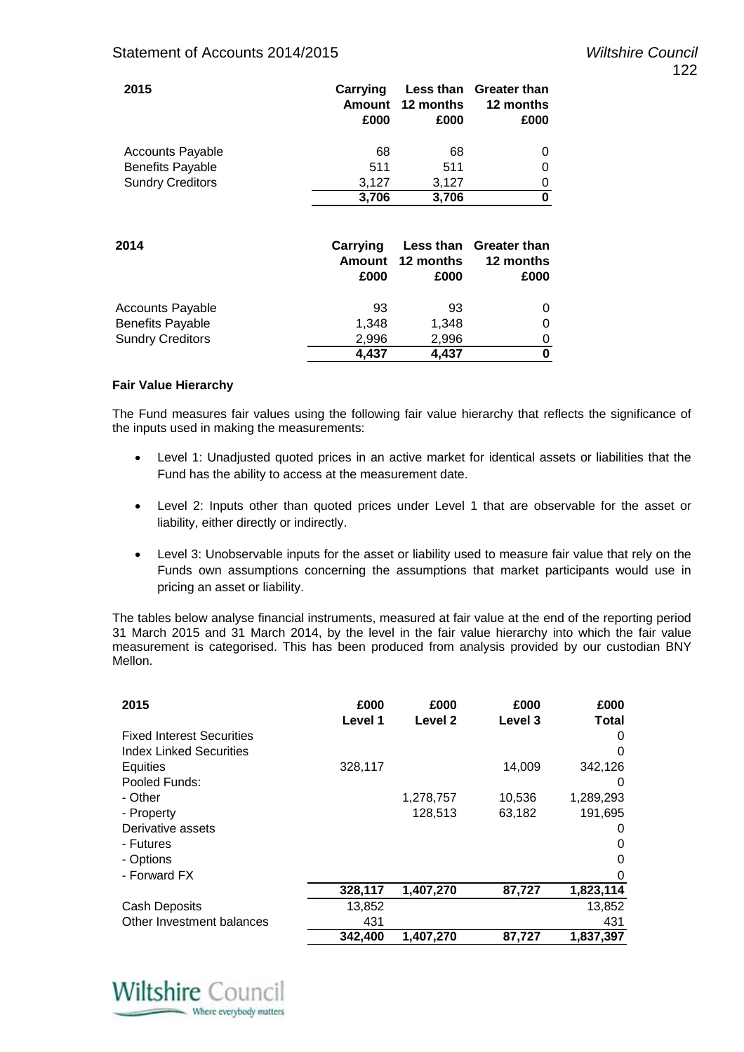| 2015                    | Carrying<br>Amount<br>£000 | 12 months<br>£000              | Less than Greater than<br>12 months<br>£000 |
|-------------------------|----------------------------|--------------------------------|---------------------------------------------|
| <b>Accounts Payable</b> | 68                         | 68                             | 0                                           |
| <b>Benefits Payable</b> | 511                        | 511                            | 0                                           |
| <b>Sundry Creditors</b> | 3,127                      | 3,127                          | 0                                           |
|                         | 3,706                      | 3,706                          | 0                                           |
| 2014                    | Carrying<br>Amount<br>£000 | Less than<br>12 months<br>£000 | Greater than<br>12 months<br>£000           |
| <b>Accounts Payable</b> | 93                         | 93                             | 0                                           |
| <b>Benefits Payable</b> | 1,348                      | 1,348                          | 0                                           |
| <b>Sundry Creditors</b> | 2,996                      | 2,996                          | 0                                           |
|                         | 4,437                      | 4,437                          | 0                                           |

### **Fair Value Hierarchy**

The Fund measures fair values using the following fair value hierarchy that reflects the significance of the inputs used in making the measurements:

- Level 1: Unadjusted quoted prices in an active market for identical assets or liabilities that the Fund has the ability to access at the measurement date.
- Level 2: Inputs other than quoted prices under Level 1 that are observable for the asset or liability, either directly or indirectly.
- Level 3: Unobservable inputs for the asset or liability used to measure fair value that rely on the Funds own assumptions concerning the assumptions that market participants would use in pricing an asset or liability.

The tables below analyse financial instruments, measured at fair value at the end of the reporting period 31 March 2015 and 31 March 2014, by the level in the fair value hierarchy into which the fair value measurement is categorised. This has been produced from analysis provided by our custodian BNY Mellon.

| 2015                             | £000<br>Level 1 | £000<br>Level 2 | £000<br>Level 3 | £000<br>Total |
|----------------------------------|-----------------|-----------------|-----------------|---------------|
| <b>Fixed Interest Securities</b> |                 |                 |                 | 0             |
| Index Linked Securities          |                 |                 |                 | 0             |
| Equities                         | 328,117         |                 | 14,009          | 342,126       |
| Pooled Funds:                    |                 |                 |                 | 0             |
| - Other                          |                 | 1,278,757       | 10,536          | 1,289,293     |
| - Property                       |                 | 128,513         | 63,182          | 191,695       |
| Derivative assets                |                 |                 |                 | 0             |
| - Futures                        |                 |                 |                 | 0             |
| - Options                        |                 |                 |                 | 0             |
| - Forward FX                     |                 |                 |                 | 0             |
|                                  | 328,117         | 1,407,270       | 87,727          | 1,823,114     |
| Cash Deposits                    | 13,852          |                 |                 | 13,852        |
| Other Investment balances        | 431             |                 |                 | 431           |
|                                  | 342,400         | 1,407,270       | 87,727          | 1,837,397     |

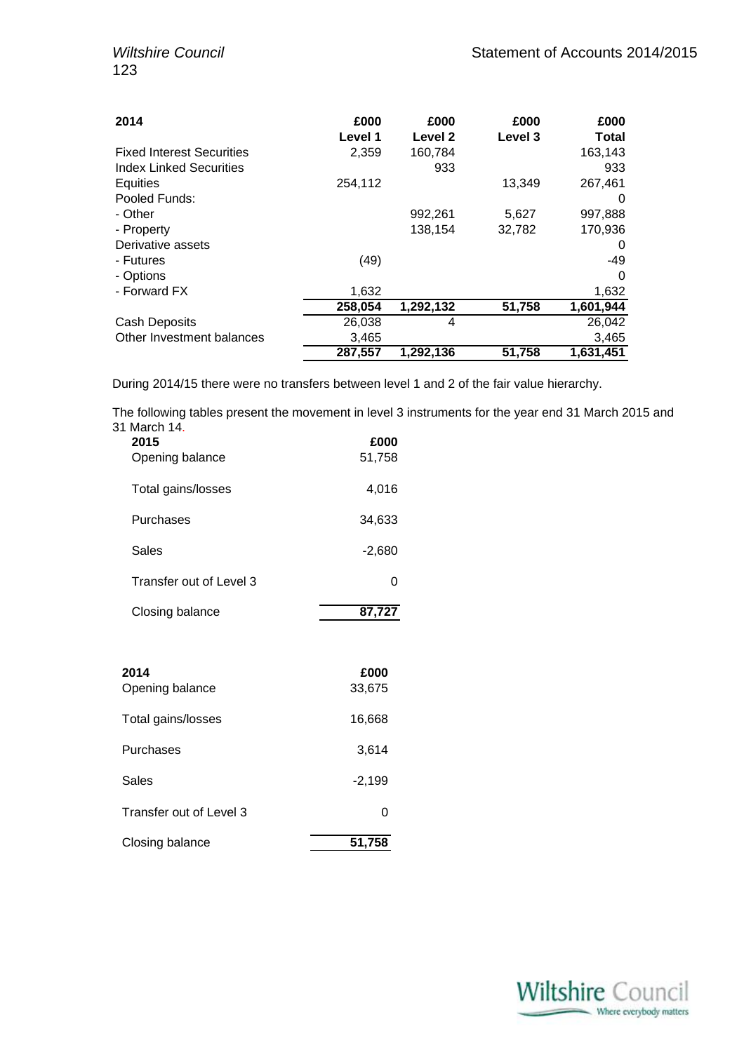| 2014                             | £000<br>Level 1 | £000<br>Level 2 | £000<br><b>Level 3</b> | £000<br>Total |
|----------------------------------|-----------------|-----------------|------------------------|---------------|
| <b>Fixed Interest Securities</b> | 2,359           | 160,784         |                        | 163,143       |
| <b>Index Linked Securities</b>   |                 | 933             |                        | 933           |
| Equities                         | 254,112         |                 | 13.349                 | 267,461       |
| Pooled Funds:                    |                 |                 |                        | $\Omega$      |
| - Other                          |                 | 992,261         | 5,627                  | 997,888       |
| - Property                       |                 | 138,154         | 32,782                 | 170,936       |
| Derivative assets                |                 |                 |                        | 0             |
| - Futures                        | (49)            |                 |                        | -49           |
| - Options                        |                 |                 |                        | $\Omega$      |
| - Forward FX                     | 1,632           |                 |                        | 1,632         |
|                                  | 258,054         | 1,292,132       | 51,758                 | 1,601,944     |
| <b>Cash Deposits</b>             | 26,038          | 4               |                        | 26,042        |
| Other Investment balances        | 3,465           |                 |                        | 3,465         |
|                                  | 287,557         | 1,292,136       | 51,758                 | 1,631,451     |

During 2014/15 there were no transfers between level 1 and 2 of the fair value hierarchy.

The following tables present the movement in level 3 instruments for the year end 31 March 2015 and 31 March 14.

| 2015<br>Opening balance | £000<br>51,758 |
|-------------------------|----------------|
| Total gains/losses      | 4,016          |
| Purchases               | 34,633         |
| Sales                   | $-2,680$       |
| Transfer out of Level 3 | 0              |
| Closing balance         | 87,727         |

| 2014<br>Opening balance | £000<br>33,675 |
|-------------------------|----------------|
| Total gains/losses      | 16,668         |
| Purchases               | 3,614          |
| Sales                   | $-2,199$       |
| Transfer out of Level 3 | 0              |
| Closing balance         | 51,758         |

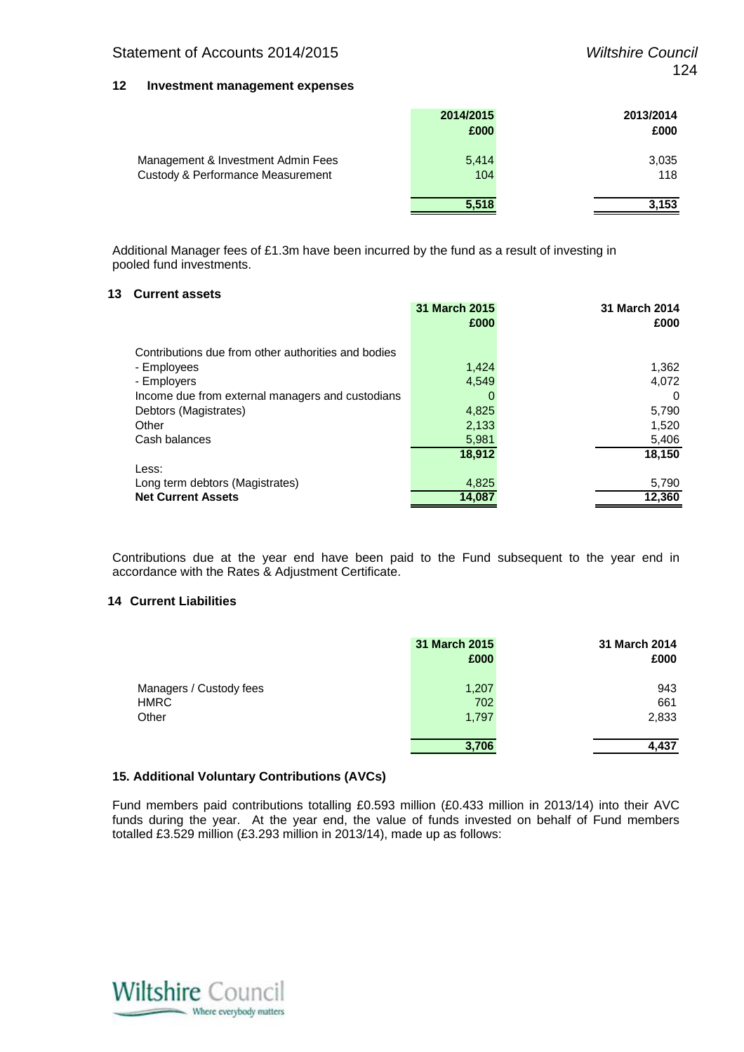### **12 Investment management expenses**

|                                                                         | 2014/2015<br>£000 | 2013/2014<br>£000 |
|-------------------------------------------------------------------------|-------------------|-------------------|
| Management & Investment Admin Fees<br>Custody & Performance Measurement | 5,414<br>104      | 3,035<br>118      |
|                                                                         | 5,518             | 3,153             |

Additional Manager fees of £1.3m have been incurred by the fund as a result of investing in pooled fund investments.

### **13 Current assets**

|                                                     | 31 March 2015 | 31 March 2014 |
|-----------------------------------------------------|---------------|---------------|
|                                                     | £000          | £000          |
|                                                     |               |               |
| Contributions due from other authorities and bodies |               |               |
| - Employees                                         | 1,424         | 1,362         |
| - Employers                                         | 4.549         | 4,072         |
| Income due from external managers and custodians    | O             | 0             |
| Debtors (Magistrates)                               | 4,825         | 5,790         |
| Other                                               | 2,133         | 1,520         |
| Cash balances                                       | 5,981         | 5,406         |
|                                                     | 18.912        | 18,150        |
| Less:                                               |               |               |
| Long term debtors (Magistrates)                     | 4,825         | 5,790         |
| <b>Net Current Assets</b>                           | 14.087        | 12,360        |
|                                                     |               |               |

Contributions due at the year end have been paid to the Fund subsequent to the year end in accordance with the Rates & Adjustment Certificate.

### **14 Current Liabilities**

|                                                 | 31 March 2015<br>£000 | 31 March 2014<br>£000 |
|-------------------------------------------------|-----------------------|-----------------------|
| Managers / Custody fees<br><b>HMRC</b><br>Other | 1,207<br>702<br>1,797 | 943<br>661<br>2,833   |
|                                                 | 3.706                 | 4,437                 |

### **15. Additional Voluntary Contributions (AVCs)**

Fund members paid contributions totalling £0.593 million (£0.433 million in 2013/14) into their AVC funds during the year. At the year end, the value of funds invested on behalf of Fund members totalled £3.529 million (£3.293 million in 2013/14), made up as follows:

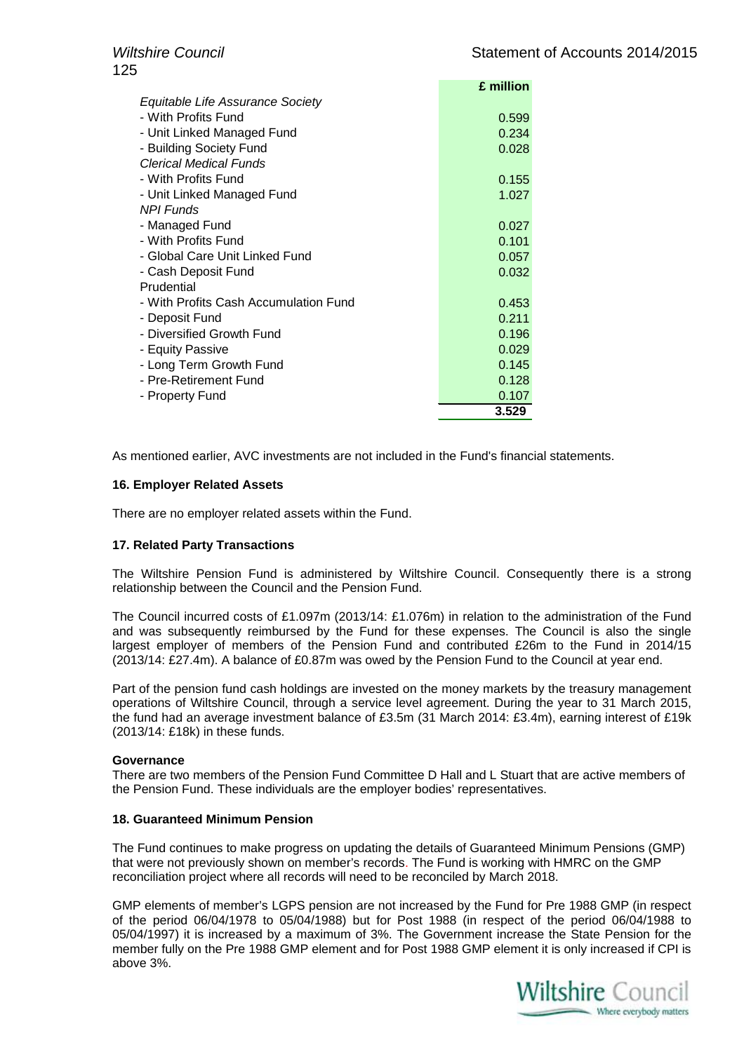|                                       | £ million |
|---------------------------------------|-----------|
| Equitable Life Assurance Society      |           |
| - With Profits Fund                   | 0.599     |
| - Unit Linked Managed Fund            | 0.234     |
| - Building Society Fund               | 0.028     |
| <b>Clerical Medical Funds</b>         |           |
| - With Profits Fund                   | 0.155     |
| - Unit Linked Managed Fund            | 1.027     |
| <b>NPI Funds</b>                      |           |
| - Managed Fund                        | 0.027     |
| - With Profits Fund                   | 0.101     |
| - Global Care Unit Linked Fund        | 0.057     |
| - Cash Deposit Fund                   | 0.032     |
| Prudential                            |           |
| - With Profits Cash Accumulation Fund | 0.453     |
| - Deposit Fund                        | 0.211     |
| - Diversified Growth Fund             | 0.196     |
| - Equity Passive                      | 0.029     |
| - Long Term Growth Fund               | 0.145     |
| - Pre-Retirement Fund                 | 0.128     |
| - Property Fund                       | 0.107     |
|                                       | 3.529     |

As mentioned earlier, AVC investments are not included in the Fund's financial statements.

### **16. Employer Related Assets**

There are no employer related assets within the Fund.

### **17. Related Party Transactions**

The Wiltshire Pension Fund is administered by Wiltshire Council. Consequently there is a strong relationship between the Council and the Pension Fund.

The Council incurred costs of £1.097m (2013/14: £1.076m) in relation to the administration of the Fund and was subsequently reimbursed by the Fund for these expenses. The Council is also the single largest employer of members of the Pension Fund and contributed £26m to the Fund in 2014/15 (2013/14: £27.4m). A balance of £0.87m was owed by the Pension Fund to the Council at year end.

Part of the pension fund cash holdings are invested on the money markets by the treasury management operations of Wiltshire Council, through a service level agreement. During the year to 31 March 2015, the fund had an average investment balance of £3.5m (31 March 2014: £3.4m), earning interest of £19k (2013/14: £18k) in these funds.

### **Governance**

There are two members of the Pension Fund Committee D Hall and L Stuart that are active members of the Pension Fund. These individuals are the employer bodies' representatives.

### **18. Guaranteed Minimum Pension**

The Fund continues to make progress on updating the details of Guaranteed Minimum Pensions (GMP) that were not previously shown on member's records. The Fund is working with HMRC on the GMP reconciliation project where all records will need to be reconciled by March 2018.

GMP elements of member's LGPS pension are not increased by the Fund for Pre 1988 GMP (in respect of the period 06/04/1978 to 05/04/1988) but for Post 1988 (in respect of the period 06/04/1988 to 05/04/1997) it is increased by a maximum of 3%. The Government increase the State Pension for the member fully on the Pre 1988 GMP element and for Post 1988 GMP element it is only increased if CPI is above 3%.

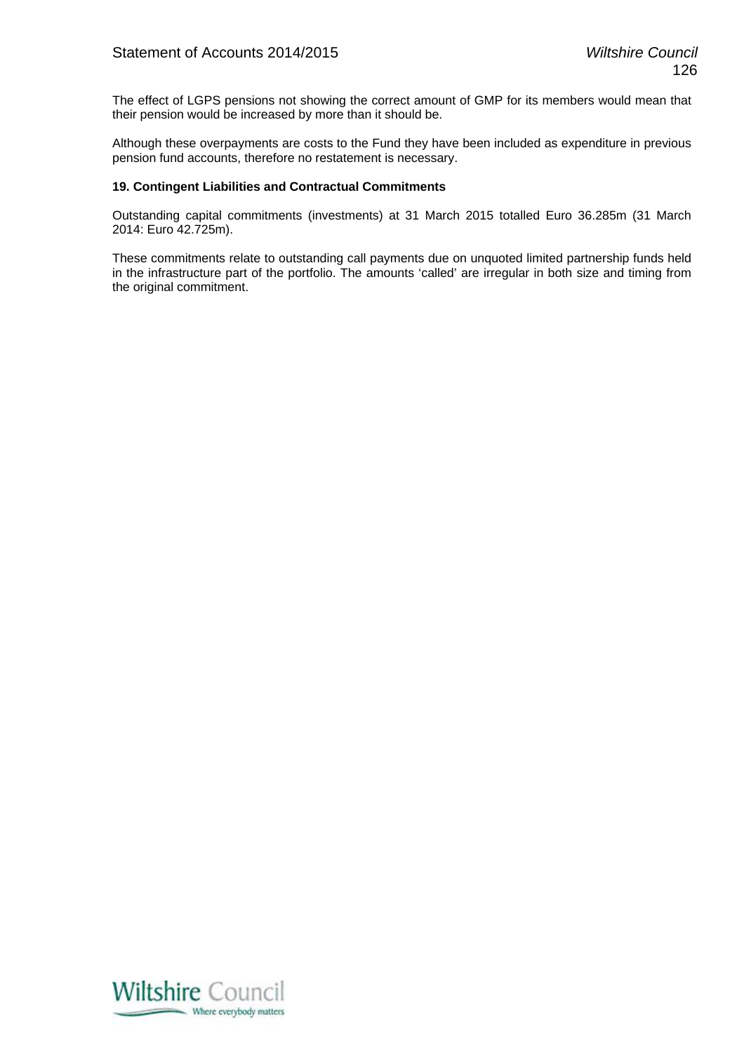The effect of LGPS pensions not showing the correct amount of GMP for its members would mean that their pension would be increased by more than it should be.

Although these overpayments are costs to the Fund they have been included as expenditure in previous pension fund accounts, therefore no restatement is necessary.

### **19. Contingent Liabilities and Contractual Commitments**

Outstanding capital commitments (investments) at 31 March 2015 totalled Euro 36.285m (31 March 2014: Euro 42.725m).

These commitments relate to outstanding call payments due on unquoted limited partnership funds held in the infrastructure part of the portfolio. The amounts 'called' are irregular in both size and timing from the original commitment.

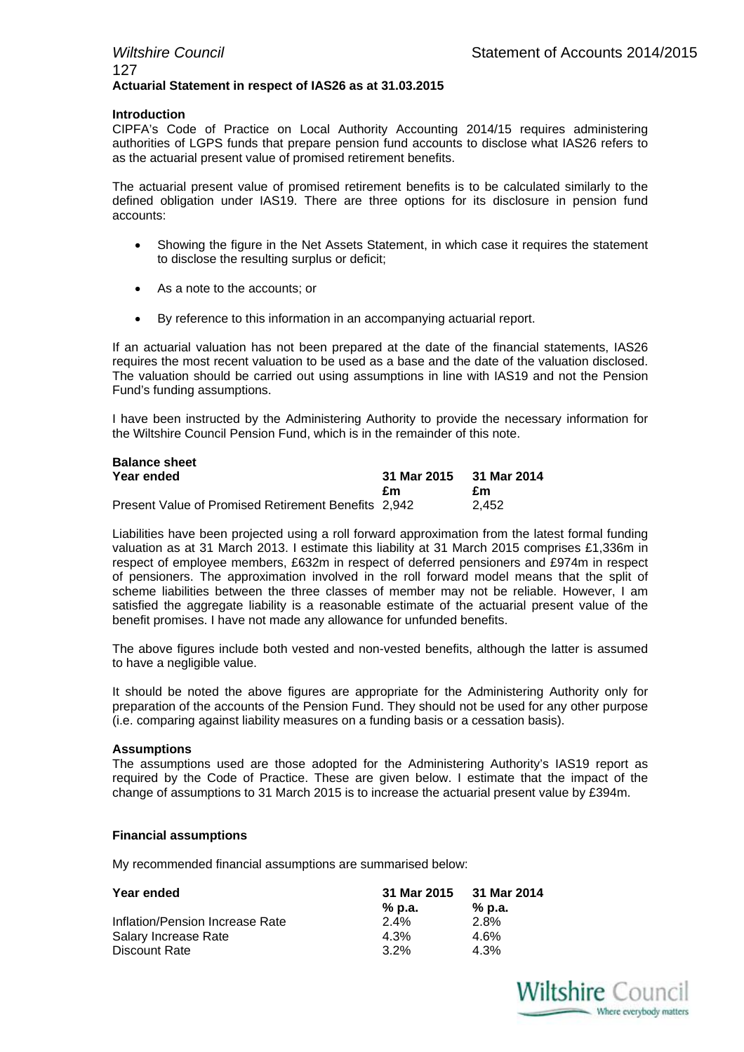### *Wiltshire Council* **Statement of Accounts 2014/2015** 127 **Actuarial Statement in respect of IAS26 as at 31.03.2015**

### **Introduction**

CIPFA's Code of Practice on Local Authority Accounting 2014/15 requires administering authorities of LGPS funds that prepare pension fund accounts to disclose what IAS26 refers to as the actuarial present value of promised retirement benefits.

The actuarial present value of promised retirement benefits is to be calculated similarly to the defined obligation under IAS19. There are three options for its disclosure in pension fund accounts:

- Showing the figure in the Net Assets Statement, in which case it requires the statement to disclose the resulting surplus or deficit;
- As a note to the accounts; or
- By reference to this information in an accompanying actuarial report.

If an actuarial valuation has not been prepared at the date of the financial statements, IAS26 requires the most recent valuation to be used as a base and the date of the valuation disclosed. The valuation should be carried out using assumptions in line with IAS19 and not the Pension Fund's funding assumptions.

I have been instructed by the Administering Authority to provide the necessary information for the Wiltshire Council Pension Fund, which is in the remainder of this note.

| <b>Balance sheet</b>                                |             |             |
|-----------------------------------------------------|-------------|-------------|
| Year ended                                          | 31 Mar 2015 | 31 Mar 2014 |
|                                                     | £m          | £m          |
| Present Value of Promised Retirement Benefits 2,942 |             | 2.452       |

Liabilities have been projected using a roll forward approximation from the latest formal funding valuation as at 31 March 2013. I estimate this liability at 31 March 2015 comprises £1,336m in respect of employee members, £632m in respect of deferred pensioners and £974m in respect of pensioners. The approximation involved in the roll forward model means that the split of scheme liabilities between the three classes of member may not be reliable. However, I am satisfied the aggregate liability is a reasonable estimate of the actuarial present value of the benefit promises. I have not made any allowance for unfunded benefits.

The above figures include both vested and non-vested benefits, although the latter is assumed to have a negligible value.

It should be noted the above figures are appropriate for the Administering Authority only for preparation of the accounts of the Pension Fund. They should not be used for any other purpose (i.e. comparing against liability measures on a funding basis or a cessation basis).

### **Assumptions**

The assumptions used are those adopted for the Administering Authority's IAS19 report as required by the Code of Practice. These are given below. I estimate that the impact of the change of assumptions to 31 March 2015 is to increase the actuarial present value by £394m.

### **Financial assumptions**

My recommended financial assumptions are summarised below:

| Year ended                      | 31 Mar 2015 | 31 Mar 2014 |
|---------------------------------|-------------|-------------|
|                                 | % p.a.      | % p.a.      |
| Inflation/Pension Increase Rate | $2.4\%$     | 2.8%        |
| Salary Increase Rate            | 4.3%        | 4.6%        |
| Discount Rate                   | $3.2\%$     | 4.3%        |

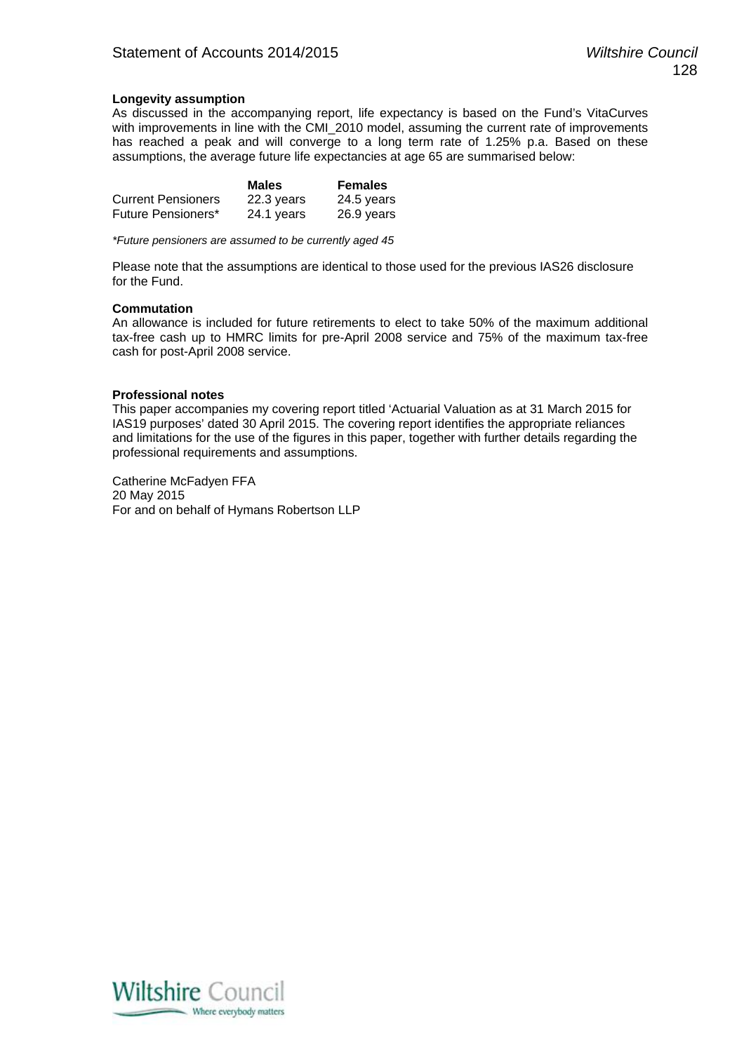### **Longevity assumption**

As discussed in the accompanying report, life expectancy is based on the Fund's VitaCurves with improvements in line with the CMI\_2010 model, assuming the current rate of improvements has reached a peak and will converge to a long term rate of 1.25% p.a. Based on these assumptions, the average future life expectancies at age 65 are summarised below:

|                           | <b>Males</b> | <b>Females</b> |
|---------------------------|--------------|----------------|
| <b>Current Pensioners</b> | 22.3 years   | 24.5 years     |
| Future Pensioners*        | 24.1 years   | 26.9 years     |

*\*Future pensioners are assumed to be currently aged 45* 

Please note that the assumptions are identical to those used for the previous IAS26 disclosure for the Fund.

### **Commutation**

An allowance is included for future retirements to elect to take 50% of the maximum additional tax-free cash up to HMRC limits for pre-April 2008 service and 75% of the maximum tax-free cash for post-April 2008 service.

### **Professional notes**

This paper accompanies my covering report titled 'Actuarial Valuation as at 31 March 2015 for IAS19 purposes' dated 30 April 2015. The covering report identifies the appropriate reliances and limitations for the use of the figures in this paper, together with further details regarding the professional requirements and assumptions.

Catherine McFadyen FFA 20 May 2015 For and on behalf of Hymans Robertson LLP

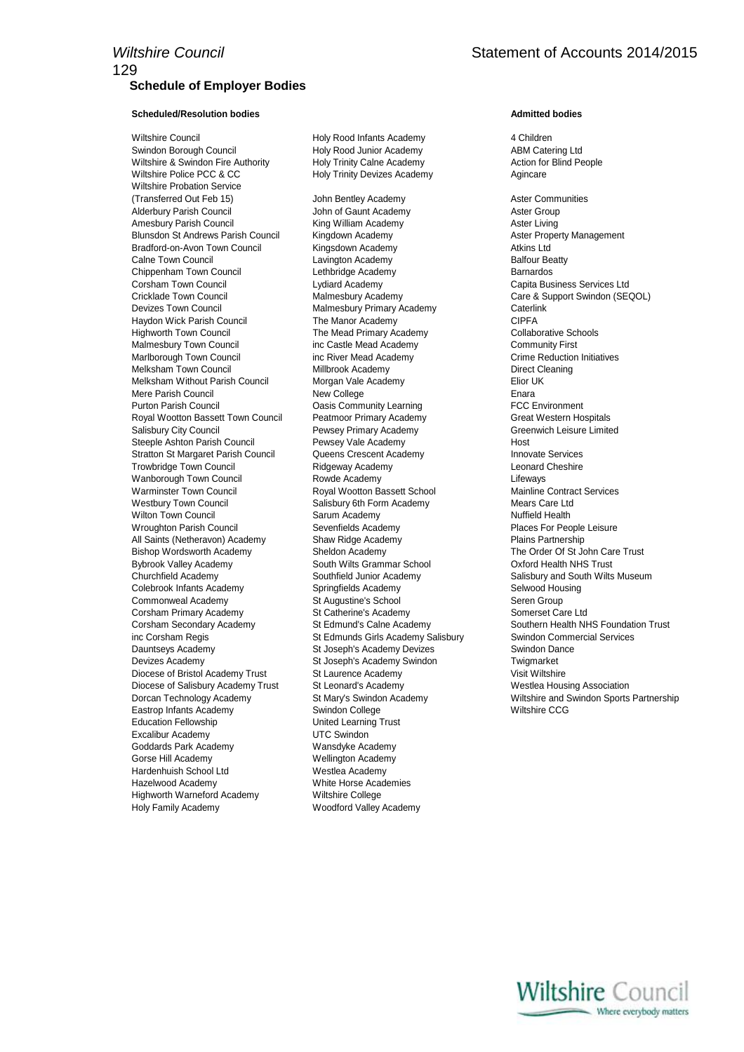## **Schedule of Employer Bodies**

### **Scheduled/Resolution bodies Admitted bodies Admitted bodies**

Wiltshire Council **Holy Rood Infants Academy** 4 Children Swindon Borough Council **Francisc Council Holy Rood Junior Academy** ABM Catering Ltd<br>
Wiltshire & Swindon Fire Authority **Holy Trinity Calne Academy Action** for Blind People Wiltshire & Swindon Fire Authority Wiltshire Police PCC & CC **Holy Trinity Devizes Academy** Agincare Wiltshire Probation Service (Transferred Out Feb 15) John Bentley Academy Aster Communities Alderbury Parish Council **All and Struth Academy** Aster Group Aster Group Amesbury Parish Council **King William Academy Aster Living** Aster Living Blunsdon St Andrews Parish Council Kingdown Academy **Aster Property Management** Council Bradford-on-Avon Town Council Kingsdown Academy Council Atkins Ltd Calne Town Council **Calne Town Council** Lavington Academy **Calne Town Balfour Beatty** Chippenham Town Council Lethbridge Academy Barnardos Corsham Town Council Lydiard Academy Capita Business Services Ltd Cricklade Town Council Malmesbury Academy Care & Support Swindon (SEQOL) Devizes Town Council **Malmesbury Primary Academy** Caterlink<br>Haydon Wick Parish Council **Malmesbury The Manor Academy** CIPFA Haydon Wick Parish Council Highworth Town Council **The Mead Primary Academy** Collaborative Schools Malmesbury Town Council inc Castle Mead Academy Community First Marlborough Town Council inc River Mead Academy Crime Reduction Initiatives<br>
Melksham Town Council **Council** Millbrook Academy Council Direct Cleaning Melksham Town Council Millbrook Academy Melksham Without Parish Council Morgan Vale Academy Elior UK Mere Parish Council **New College Enara** Enara Purton Parish Council **Community Contains Community Learning FCC Environment** Royal Wootton Bassett Town Council Peatmoor Primary Academy Great Western Hospitals Salisbury City Council **Example 2** Pewsey Primary Academy **Greenwich Leisure Limited** Steeple Ashton Parish Council **Pewsey Vale Academy Host** Host Stratton St Margaret Parish Council **Queens Crescent Academy Council Contains Academy** Innovate Services Trowbridge Town Council **Ridgeway Academy Ridgeway Academy** Leonard Cheshire Wanborough Town Council **Now Academy** Rowde Academy **Row Academy** Lifeways Warminster Town Council **Royal Wootton Bassett School** Mainline Contract Services Westbury Town Council **Salisbury 6th Form Academy** Mears Care Ltd Wilton Town Council **Sarum Academy** Sarum Academy Nuffield Health Wroughton Parish Council **Sevenfields Academy Places For People Leisure** Places For People Leisure All Saints (Netheravon) Academy Shaw Ridge Academy Plains Partnership Bishop Wordsworth Academy Sheldon Academy The Order Of St John Care Trust Bybrook Valley Academy South Wilts Grammar School Oxford Health NHS Trust Churchfield Academy Southfield Junior Academy Salisbury and South Wilts Museum Colebrook Infants Academy **Springfields Academy** Selwood Housing Commonweal Academy St Augustine's School Seren Group Corsham Primary Academy St Catherine's Academy Somerset Care Ltd Corsham Secondary Academy St Edmund's Calne Academy Southern Health NHS Foundation Trust inc Corsham Regis **St Edmunds Girls Academy Salisbury** Swindon Commercial Services Dauntseys Academy St Joseph's Academy Devizes Swindon Dance Devizes Academy St Joseph's Academy Swindon Twigmarket Diocese of Bristol Academy Trust St Laurence Academy Visit Wiltshire Diocese of Salisbury Academy Trust St Leonard's Academy Westlea Housing Association Dorcan Technology Academy St Mary's Swindon Academy Wiltshire and Swindon Sports Partnership Eastrop Infants Academy **Swindon College Wiltshire CCG** Wiltshire CCG Education Fellowship United Learning Trust Excalibur Academy UTC Swindon Goddards Park Academy Wansdyke Academy Gorse Hill Academy Wellington Academy Hardenhuish School Ltd Westlea Academy Hazelwood Academy White Horse Academies Highworth Warneford Academy Wiltshire College Holy Family Academy Woodford Valley Academy